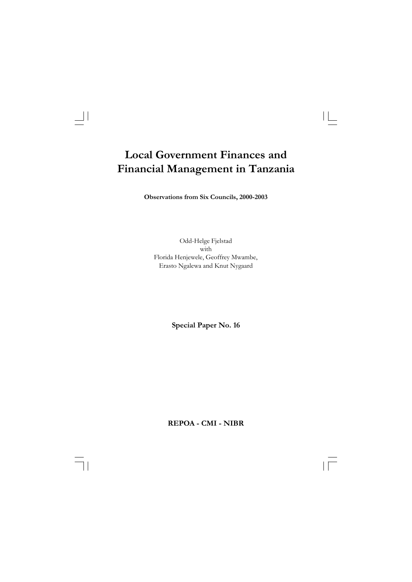$\begin{array}{c|c|c|c|c} \hline \quad \quad & \quad \quad & \quad \quad & \quad \quad \\ \hline \end{array}$ 

**Observations from Six Councils, 2000-2003**

Odd-Helge Fjelstad with Florida Henjewele, Geoffrey Mwambe, Erasto Ngalewa and Knut Nygaard

**Special Paper No. 16**

**REPOA - CMI - NIBR**

 $\overline{\overline{\mathbb{u}}}$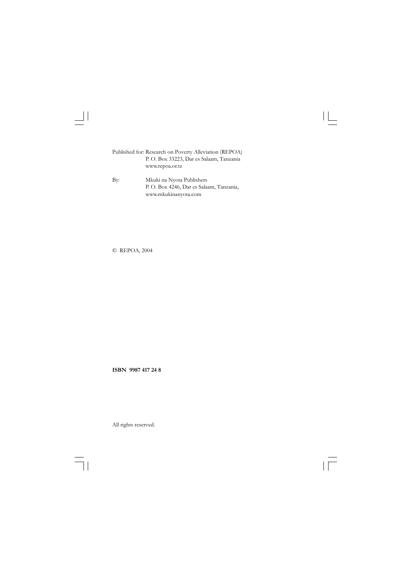Published for: Research on Poverty Alleviation (REPOA) P. O. Box 33223, Dar es Salaam, Tanzania www.repoa.or.tz

 $\begin{array}{c} \hline \end{array}$ 

By: Mkuki na Nyota Publishers P. O. Box 4246, Dar es Salaam, Tanzania, www.mkukinanyota.com

© REPOA, 2004

 $\begin{array}{c|c|c|c|c} \hline \multicolumn{1}{c|}{\textbf{1}} & \multicolumn{1}{c|}{\textbf{1}} \\ \hline \multicolumn{1}{c|}{\textbf{2}} & \multicolumn{1}{c|}{\textbf{3}} & \multicolumn{1}{c|}{\textbf{4}} \\ \hline \multicolumn{1}{c|}{\textbf{4}} & \multicolumn{1}{c|}{\textbf{5}} & \multicolumn{1}{c|}{\textbf{6}} \\ \hline \multicolumn{1}{c|}{\textbf{5}} & \multicolumn{1}{c|}{\textbf{6}} & \multicolumn{1}{c|}{\textbf{6}} \\ \hline \multic$ 

**ISBN 9987 417 24 8**

 $\overline{\mathcal{F}}_{\text{max}}$  $\sqrt{\overline{\phantom{0}}\phantom{0}}$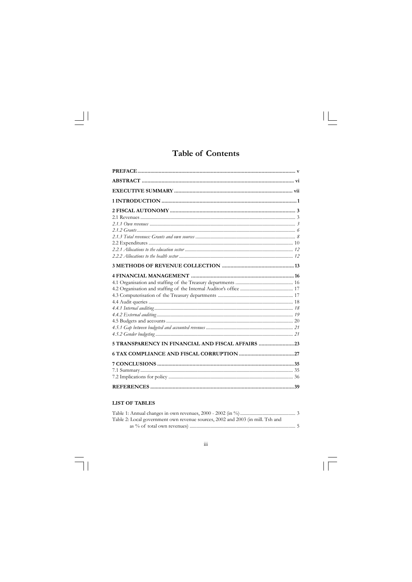## **Table of Contents**

 $\mathbf{L}$ 

| 5 TRANSPARENCY IN FINANCIAL AND FISCAL AFFAIRS |  |
|------------------------------------------------|--|
|                                                |  |
|                                                |  |
|                                                |  |
|                                                |  |
|                                                |  |

## **LIST OF TABLES**

 $\overline{\phantom{0}}$ 

| Table 2: Local government own revenue sources, 2002 and 2003 (in mill. Tsh and |
|--------------------------------------------------------------------------------|
|                                                                                |

 $\dddot{\mathbf{m}}$  $\overline{\mathbb{F}}_1$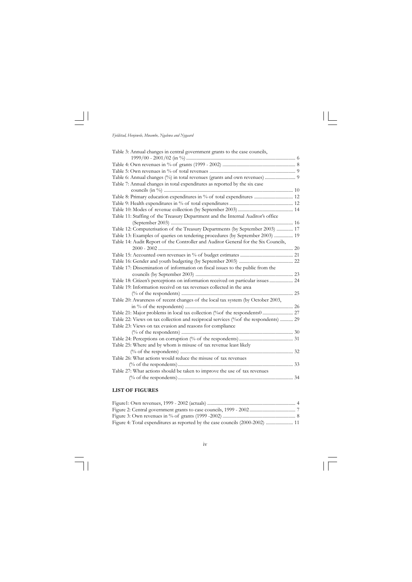

 $\Box$ 

| Table 3: Annual changes in central government grants to the case councils,          |  |
|-------------------------------------------------------------------------------------|--|
|                                                                                     |  |
|                                                                                     |  |
|                                                                                     |  |
| Table 6: Annual changes (%) in total revenues (grants and own revenues)  9          |  |
| Table 7: Annual changes in total expenditures as reported by the six case           |  |
|                                                                                     |  |
| Table 8: Primary education expenditures in % of total expenditures  12              |  |
|                                                                                     |  |
|                                                                                     |  |
| Table 11: Staffing of the Treasury Department and the Internal Auditor's office     |  |
|                                                                                     |  |
| Table 12: Computerisation of the Treasury Departments (by September 2003)  17       |  |
| Table 13: Examples of queries on tendering procedures (by September 2003)  19       |  |
| Table 14: Audit Report of the Controller and Auditor General for the Six Councils,  |  |
|                                                                                     |  |
|                                                                                     |  |
|                                                                                     |  |
| Table 17: Dissemination of information on fiscal issues to the public from the      |  |
|                                                                                     |  |
| Table 18: Citizen's perceptions on information received on particular issues  24    |  |
| Table 19: Information receivd on tax revenues collected in the area                 |  |
|                                                                                     |  |
| Table 20: Awareness of recent changes of the local tax system (by October 2003,     |  |
|                                                                                     |  |
| Table 21: Major problems in local tax collection (%of the respondents0  27          |  |
| Table 22: Views on tax collection and reciprocal services (%of the respondents)  29 |  |
| Table 23: Views on tax evasion and reasons for compliance                           |  |
|                                                                                     |  |
|                                                                                     |  |
| Table 25: Where and by whom is misuse of tax revenue least likely                   |  |
|                                                                                     |  |
| Table 26: What actions would reduce the misuse of tax revenues                      |  |
|                                                                                     |  |
| Table 27: What actions should be taken to improve the use of tax revenues           |  |
|                                                                                     |  |
|                                                                                     |  |

 $\mathbf{1}$ 

## **LIST OF FIGURES**

| Figure 4: Total expenditures as reported by the case councils (2000-2002)  11 |  |
|-------------------------------------------------------------------------------|--|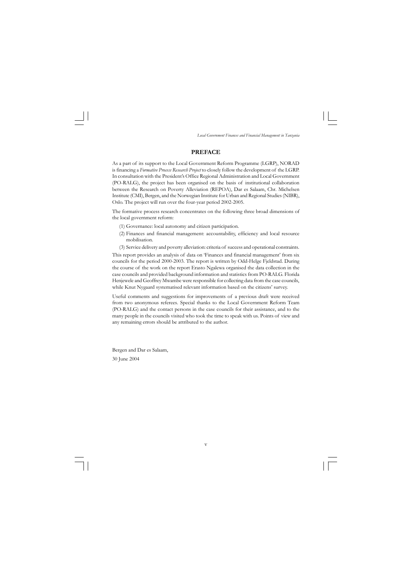#### **PREFACE**

As a part of its support to the Local Government Reform Programme (LGRP), NORAD is financing a *Formative Process Research Project* to closely follow the development of the LGRP. In consultation with the President's Office Regional Administration and Local Government (PO-RALG), the project has been organised on the basis of institutional collaboration between the Research on Poverty Alleviation (REPOA), Dar es Salaam, Chr. Michelsen Institute (CMI), Bergen, and the Norwegian Institute for Urban and Regional Studies (NIBR), Oslo. The project will run over the four-year period 2002-2005.

The formative process research concentrates on the following three broad dimensions of the local government reform:

- (1) Governance: local autonomy and citizen participation.
- (2) Finances and financial management: accountability, efficiency and local resource mobilisation.
- (3) Service delivery and poverty alleviation: criteria of success and operational constraints.

This report provides an analysis of data on 'Finances and financial management' from six councils for the period 2000-2003. The report is written by Odd-Helge Fjeldstad. During the course of the work on the report Erasto Ngalewa organised the data collection in the case councils and provided background information and statistics from PO-RALG. Florida Henjewele and Geoffrey Mwambe were responsible for collecting data from the case councils, while Knut Nygaard systematised relevant information based on the citizens' survey.

Useful comments and suggestions for improvements of a previous draft were received from two anonymous referees. Special thanks to the Local Government Reform Team (PO-RALG) and the contact persons in the case councils for their assistance, and to the many people in the councils visited who took the time to speak with us. Points of view and any remaining errors should be attributed to the author.

Bergen and Dar es Salaam, 30 June 2004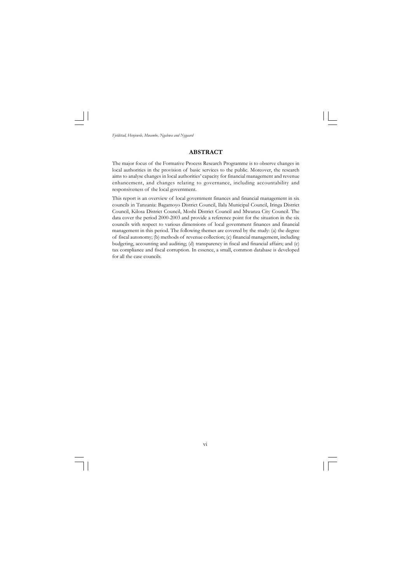#### **ABSTRACT**

The major focus of the Formative Process Research Programme is to observe changes in local authorities in the provision of basic services to the public. Moreover, the research aims to analyse changes in local authorities' capacity for financial management and revenue enhancement, and changes relating to governance, including accountability and responsiveness of the local government.

This report is an overview of local government finances and financial management in six councils in Tanzania: Bagamoyo District Council, Ilala Municipal Council, Iringa District Council, Kilosa District Council, Moshi District Council and Mwanza City Council. The data cover the period 2000-2003 and provide a reference point for the situation in the six councils with respect to various dimensions of local government finances and financial management in this period. The following themes are covered by the study: (a) the degree of fiscal autonomy; (b) methods of revenue collection; (c) financial management, including budgeting, accounting and auditing; (d) transparency in fiscal and financial affairs; and (e) tax compliance and fiscal corruption. In essence, a small, common database is developed for all the case councils.

vi  $\overline{\neg}$  $\sqrt{1}$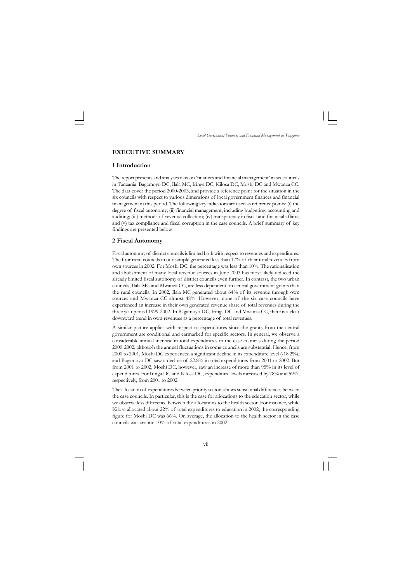vii

*Local Government Finances and Financial Management in Tanzania*

#### **EXECUTIVE SUMMARY**

#### **1 Introduction**

The report presents and analyses data on 'finances and financial management' in six councils in Tanzania: Bagamoyo DC, Ilala MC, Iringa DC, Kilosa DC, Moshi DC and Mwanza CC. The data cover the period 2000-2003, and provide a reference point for the situation in the six councils with respect to various dimensions of local government finances and financial management in this period. The following key indicators are used as reference points: (i) the degree of fiscal autonomy; (ii) financial management, including budgeting, accounting and auditing; (iii) methods of revenue collection; (iv) transparency in fiscal and financial affairs; and (v) tax compliance and fiscal corruption in the case councils. A brief summary of key findings are presented below.

#### **2 Fiscal Autonomy**

Fiscal autonomy of district councils is limited both with respect to revenues and expenditures. The four rural councils in our sample generated less than 17% of their total revenues from own sources in 2002. For Moshi DC, the percentage was less than 10%. The rationalisation and abolishment of many local revenue sources in June 2003 has most likely reduced the already limited fiscal autonomy of district councils even further. In contrast, the two urban councils, Ilala MC and Mwanza CC, are less dependent on central government grants than the rural councils. In 2002, Ilala MC generated about 64% of its revenue through own sources and Mwanza CC almost 48%. However, none of the six case councils have experienced an increase in their own generated revenue share of total revenues during the three year period 1999-2002. In Bagamoyo DC, Iringa DC and Mwanza CC, there is a clear downward trend in own revenues as a percentage of total revenues.

A similar picture applies with respect to expenditures since the grants from the central government are conditional and earmarked for specific sectors. In general, we observe a considerable annual increase in total expenditures in the case councils during the period 2000-2002, although the annual fluctuations in some councils are substantial. Hence, from 2000 to 2001, Moshi DC experienced a significant decline in its expenditure level (-18.2%), and Bagamoyo DC saw a decline of 22.8% in total expenditures from 2001 to 2002. But from 2001 to 2002, Moshi DC, however, saw an increase of more than 95% in its level of expenditures. For Iringa DC and Kilosa DC, expenditure levels increased by 78% and 59%, respectively, from 2001 to 2002.

The allocation of expenditures between priority sectors shows substantial differences between the case councils. In particular, this is the case for allocations to the education sector, while we observe less difference between the allocations to the health sector. For instance, while Kilosa allocated about 22% of total expenditures to education in 2002, the corresponding figure for Moshi DC was 66%. On average, the allocation to the health sector in the case councils was around 10% of total expenditures in 2002.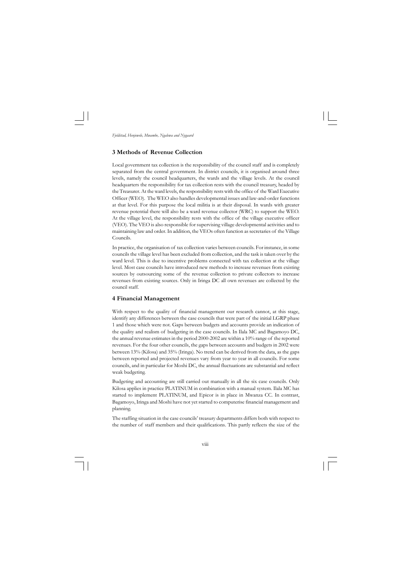viii

*Fjeldstad, Henjewele, Mwambe, Ngalewa and Nygaard*

#### **3 Methods of Revenue Collection**

Local government tax collection is the responsibility of the council staff and is completely separated from the central government. In district councils, it is organised around three levels, namely the council headquarters, the wards and the village levels. At the council headquarters the responsibility for tax collection rests with the council treasury, headed by the Treasurer. At the ward levels, the responsibility rests with the office of the Ward Executive Officer (WEO). The WEO also handles developmental issues and law-and-order functions at that level. For this purpose the local militia is at their disposal. In wards with greater revenue potential there will also be a ward revenue collector (WRC) to support the WEO. At the village level, the responsibility rests with the office of the village executive officer (VEO). The VEO is also responsible for supervising village developmental activities and to maintaining law and order. In addition, the VEOs often function as secretaries of the Village Councils.

With respect to the quality of financial management our research cannot, at this stage, identify any differences between the case councils that were part of the initial LGRP phase 1 and those which were not. Gaps between budgets and accounts provide an indication of the quality and realism of budgeting in the case councils. In Ilala MC and Bagamoyo DC, the annual revenue estimates in the period 2000-2002 are within a 10% range of the reported revenues. For the four other councils, the gaps between accounts and budgets in 2002 were between 13% (Kilosa) and 35% (Iringa). No trend can be derived from the data, as the gaps between reported and projected revenues vary from year to year in all councils. For some councils, and in particular for Moshi DC, the annual fluctuations are substantial and reflect weak budgeting.

In practice, the organisation of tax collection varies between councils. For instance, in some councils the village level has been excluded from collection, and the task is taken over by the ward level. This is due to incentive problems connected with tax collection at the village level. Most case councils have introduced new methods to increase revenues from existing sources by outsourcing some of the revenue collection to private collectors to increase revenues from existing sources. Only in Iringa DC all own revenues are collected by the council staff.

#### **4 Financial Management**

Budgeting and accounting are still carried out manually in all the six case councils. Only Kilosa applies in practice PLATINUM in combination with a manual system. Ilala MC has started to implement PLATINUM, and Epicor is in place in Mwanza CC. In contrast, Bagamoyo, Iringa and Moshi have not yet started to computerise financial management and planning.

The staffing situation in the case councils' treasury departments differs both with respect to the number of staff members and their qualifications. This partly reflects the size of the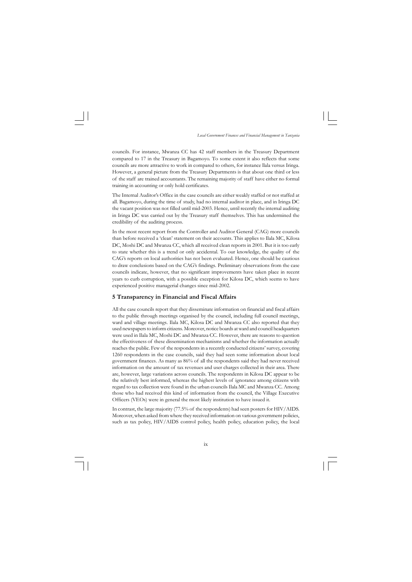ix

*Local Government Finances and Financial Management in Tanzania*

councils. For instance, Mwanza CC has 42 staff members in the Treasury Department compared to 17 in the Treasury in Bagamoyo. To some extent it also reflects that some councils are more attractive to work in compared to others, for instance llala versus Iringa. However, a general picture from the Treasury Departments is that about one third or less of the staff are trained accountants. The remaining majority of staff have either no formal training in accounting or only hold certificates.

The Internal Auditor's Office in the case councils are either weakly staffed or not staffed at all. Bagamoyo, during the time of study, had no internal auditor in place, and in Iringa DC the vacant position was not filled until mid-2003. Hence, until recently the internal auditing in Iringa DC was carried out by the Treasury staff themselves. This has undermined the credibility of the auditing process.

In the most recent report from the Controller and Auditor General (CAG) more councils than before received a 'clean' statement on their accounts. This applies to Ilala MC, Kilosa DC, Moshi DC and Mwanza CC, which all received clean reports in 2001. But it is too early to state whether this is a trend or only accidental. To our knowledge, the quality of the CAG's reports on local authorities has not been evaluated. Hence, one should be cautious to draw conclusions based on the CAG's findings. Preliminary observations from the case councils indicate, however, that no significant improvements have taken place in recent years to curb corruption, with a possible exception for Kilosa DC, which seems to have experienced positive managerial changes since mid-2002.

#### **5 Transparency in Financial and Fiscal Affairs**

All the case councils report that they disseminate information on financial and fiscal affairs to the public through meetings organised by the council, including full council meetings, ward and village meetings. Ilala MC, Kilosa DC and Mwanza CC also reported that they used newspapers to inform citizens. Moreover, notice boards at ward and council headquarters were used in Ilala MC, Moshi DC and Mwanza CC. However, there are reasons to question the effectiveness of these dissemination mechanisms and whether the information actually reaches the public. Few of the respondents in a recently conducted citizens' survey, covering 1260 respondents in the case councils, said they had seen some information about local government finances. As many as 86% of all the respondents said they had never received information on the amount of tax revenues and user charges collected in their area. There are, however, large variations across councils. The respondents in Kilosa DC appear to be the relatively best informed, whereas the highest levels of ignorance among citizens with regard to tax collection were found in the urban councils Ilala MC and Mwanza CC. Among those who had received this kind of information from the council, the Village Executive Officers (VEOs) were in general the most likely institution to have issued it.

In contrast, the large majority (77.5% of the respondents) had seen posters for HIV/AIDS. Moreover, when asked from where they received information on various government policies, such as tax policy, HIV/AIDS control policy, health policy, education policy, the local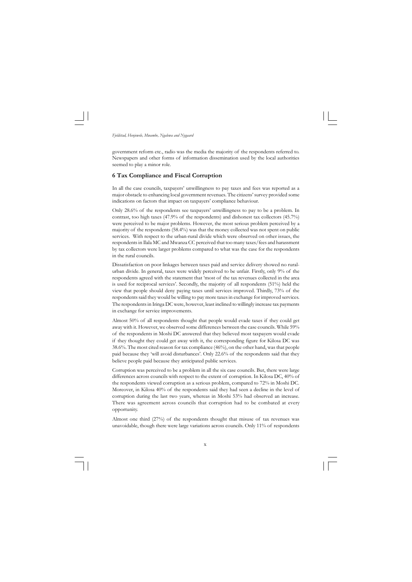x

*Fjeldstad, Henjewele, Mwambe, Ngalewa and Nygaard*

government reform etc., radio was the media the majority of the respondents referred to. Newspapers and other forms of information dissemination used by the local authorities seemed to play a minor role.

#### **6 Tax Compliance and Fiscal Corruption**

In all the case councils, taxpayers' unwillingness to pay taxes and fees was reported as a major obstacle to enhancing local government revenues. The citizens' survey provided some indications on factors that impact on taxpayers' compliance behaviour.

Only 28.6% of the respondents see taxpayers' unwillingness to pay to be a problem. In contrast, too high taxes (47.9% of the respondents) and dishonest tax collectors (45.7%) were perceived to be major problems. However, the most serious problem perceived by a majority of the respondents (58.4%) was that the money collected was not spent on public services. With respect to the urban-rural divide which were observed on other issues, the respondents in Ilala MC and Mwanza CC perceived that too many taxes/fees and harassment by tax collectors were larger problems compared to what was the case for the respondents in the rural councils.

Dissatisfaction on poor linkages between taxes paid and service delivery showed no ruralurban divide. In general, taxes were widely perceived to be unfair. Firstly, only 9% of the respondents agreed with the statement that 'most of the tax revenues collected in the area is used for reciprocal services'. Secondly, the majority of all respondents (51%) held the view that people should deny paying taxes until services improved. Thirdly, 73% of the respondents said they would be willing to pay more taxes in exchange for improved services. The respondents in Iringa DC were, however, least inclined to willingly increase tax payments in exchange for service improvements.

Almost 50% of all respondents thought that people would evade taxes if they could get away with it. However, we observed some differences between the case councils. While 59% of the respondents in Moshi DC answered that they believed most taxpayers would evade if they thought they could get away with it, the corresponding figure for Kilosa DC was 38.6%. The most cited reason for tax compliance (46%), on the other hand, was that people paid because they 'will avoid disturbances'. Only 22.6% of the respondents said that they believe people paid because they anticipated public services.

Corruption was perceived to be a problem in all the six case councils. But, there were large differences across councils with respect to the extent of corruption. In Kilosa DC, 40% of the respondents viewed corruption as a serious problem, compared to 72% in Moshi DC. Moreover, in Kilosa 40% of the respondents said they had seen a decline in the level of corruption during the last two years, whereas in Moshi 53% had observed an increase. There was agreement across councils that corruption had to be combated at every opportunity.

Almost one third (27%) of the respondents thought that misuse of tax revenues was unavoidable, though there were large variations across councils. Only 11% of respondents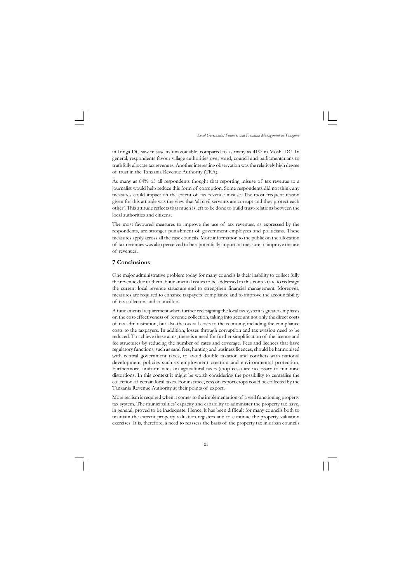xi

*Local Government Finances and Financial Management in Tanzania*

in Iringa DC saw misuse as unavoidable, compared to as many as 41% in Moshi DC. In general, respondents favour village authorities over ward, council and parliamentarians to truthfully allocate tax revenues. Another interesting observation was the relatively high degree of trust in the Tanzania Revenue Authority (TRA).

As many as 64% of all respondents thought that reporting misuse of tax revenue to a journalist would help reduce this form of corruption. Some respondents did not think any measures could impact on the extent of tax revenue misuse. The most frequent reason given for this attitude was the view that 'all civil servants are corrupt and they protect each other'. This attitude reflects that much is left to be done to build trust-relations between the local authorities and citizens.

The most favoured measures to improve the use of tax revenues, as expressed by the respondents, are stronger punishment of government employees and politicians. These measures apply across all the case councils. More information to the public on the allocation of tax revenues was also perceived to be a potentially important measure to improve the use of revenues.

#### **7 Conclusions**

One major administrative problem today for many councils is their inability to collect fully the revenue due to them. Fundamental issues to be addressed in this context are to redesign the current local revenue structure and to strengthen financial management. Moreover, measures are required to enhance taxpayers' compliance and to improve the accountability of tax collectors and councillors.

A fundamental requirement when further redesigning the local tax system is greater emphasis on the cost-effectiveness of revenue collection, taking into account not only the direct costs of tax administration, but also the overall costs to the economy, including the compliance costs to the taxpayers. In addition, losses through corruption and tax evasion need to be reduced. To achieve these aims, there is a need for further simplification of the licence and fee structures by reducing the number of rates and coverage. Fees and licences that have regulatory functions, such as sand fees, hunting and business licences, should be harmonised with central government taxes, to avoid double taxation and conflicts with national development policies such as employment creation and environmental protection. Furthermore, uniform rates on agricultural taxes (crop cess) are necessary to minimise distortions. In this context it might be worth considering the possibility to centralise the collection of certain local taxes. For instance, cess on export crops could be collected by the Tanzania Revenue Authority at their points of export.

More realism is required when it comes to the implementation of a well functioning property tax system. The municipalities' capacity and capability to administer the property tax have, in general, proved to be inadequate. Hence, it has been difficult for many councils both to maintain the current property valuation registers and to continue the property valuation exercises. It is, therefore, a need to reassess the basis of the property tax in urban councils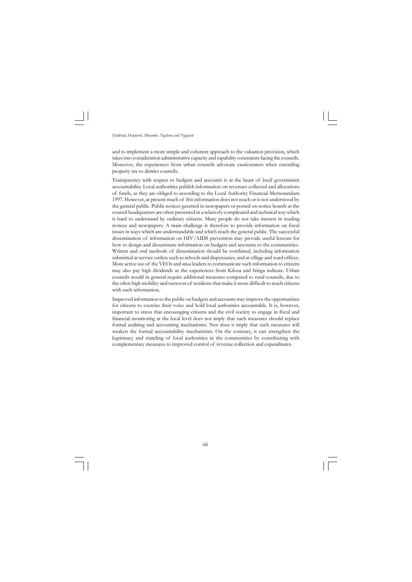

and to implement a more simple and coherent approach to the valuation provision, which takes into consideration administrative capacity and capability constraints facing the councils. Moreover, the experiences from urban councils advocate cautiousness when extending property tax to district councils.

Transparency with respect to budgets and accounts is at the heart of local government accountability. Local authorities publish information on revenues collected and allocations of funds, as they are obliged to according to the Local Authority Financial Memorandum 1997. However, at present much of this information does not reach or is not understood by the general public. Public notices gazetted in newspapers or posted on notice boards at the council headquarters are often presented in a relatively complicated and technical way which is hard to understand by ordinary citizens. Many people do not take interest in reading notices and newspapers. A main challenge is therefore to provide information on fiscal issues in ways which are understandable and which reach the general public. The successful dissemination of information on HIV/AIDS prevention may provide useful lessons for how to design and disseminate information on budgets and accounts to the communities. Written and oral methods of dissemination should be combined, including information submitted at service outlets such as schools and dispensaries, and at village and ward offices. More active use of the VEOs and *mtaa* leaders to communicate such information to citizens may also pay high dividends as the experiences from Kilosa and Iringa indicate. Urban councils would in general require additional measures compared to rural councils, due to the often high mobility and turnover of residents that make it more difficult to reach citizens with such information.

Improved information to the public on budgets and accounts may improve the opportunities for citizens to exercise their voice and hold local authorities accountable. It is, however, important to stress that encouraging citizens and the civil society to engage in fiscal and financial monitoring at the local level does not imply that such measures should replace formal auditing and accounting mechanisms. Nor does it imply that such measures will weaken the formal accountability mechanisms. On the contrary, it can strengthen the legitimacy and standing of local authorities in the communities by contributing with complementary measures to improved control of revenue collection and expenditures.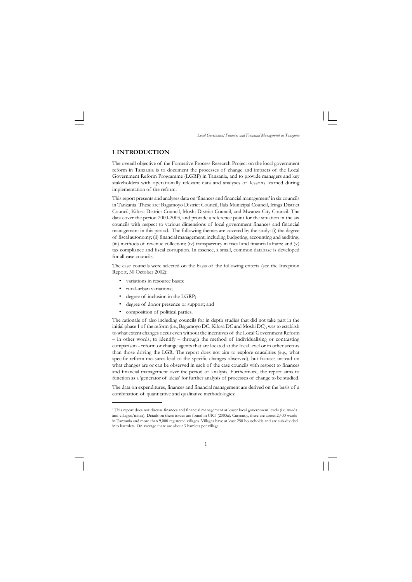*Local Government Finances and Financial Management in Tanzania*

#### **1 INTRODUCTION**

The overall objective of the Formative Process Research Project on the local government reform in Tanzania is to document the processes of change and impacts of the Local Government Reform Programme (LGRP) in Tanzania, and to provide managers and key stakeholders with operationally relevant data and analyses of lessons learned during implementation of the reform.

- variations in resource bases;
- rural-urban variations;
- degree of inclusion in the LGRP;
- degree of donor presence or support; and
- composition of political parties.

This report presents and analyses data on 'finances and financial management' in six councils in Tanzania. These are: Bagamoyo District Council, Ilala Municipal Council, Iringa District Council, Kilosa District Council, Moshi District Council, and Mwanza City Council. The data cover the period 2000-2003, and provide a reference point for the situation in the six councils with respect to various dimensions of local government finances and financial management in this period.<sup>1</sup> The following themes are covered by the study: (i) the degree of fiscal autonomy; (ii) financial management, including budgeting, accounting and auditing; (iii) methods of revenue collection; (iv) transparency in fiscal and financial affairs; and (v) tax compliance and fiscal corruption. In essence, a small, common database is developed for all case councils.

The case councils were selected on the basis of the following criteria (see the Inception Report, 30 October 2002):

The rationale of also including councils for in depth studies that did not take part in the initial phase 1 of the reform (i.e., Bagamoyo DC, Kilosa DC and Moshi DC), was to establish to what extent changes occur even without the incentives of the Local Government Reform – in other words, to identify – through the method of individualising or contrasting comparison - reform or change agents that are located at the local level or in other sectors than those driving the LGR. The report does not aim to explore causalities (e.g., what specific reform measures lead to the specific changes observed), but focuses instead on what changes are or can be observed in each of the case councils with respect to finances and financial management over the period of analysis. Furthermore, the report aims to function as a 'generator of ideas' for further analysis of processes of change to be studied.

The data on expenditures, finances and financial management are derived on the basis of a combination of quantitative and qualitative methodologies:

<sup>1</sup> This report does not discuss finances and financial management at lower local government levels (i.e. wards and villages/mitaa). Details on these issues are found in URT (2003a). Currently, there are about 2,400 wards in Tanzania and more than 9,000 registered villages. Villages have at least 250 households and are sub-divided into harmlets. On average there are about 3 hamlets per village.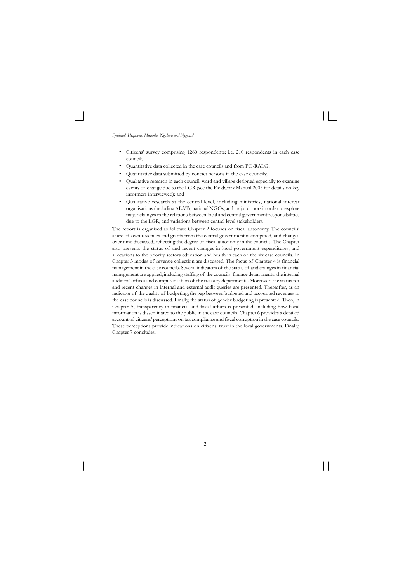- Citizens' survey comprising 1260 respondents; i.e. 210 respondents in each case council;
- Quantitative data collected in the case councils and from PO-RALG;
- Quantitative data submitted by contact persons in the case councils;
- Qualitative research in each council, ward and village designed especially to examine events of change due to the LGR (see the Fieldwork Manual 2003 for details on key informers interviewed); and
- Qualitative research at the central level, including ministries, national interest organisations (including ALAT), national NGOs, and major donors in order to explore major changes in the relations between local and central government responsibilities due to the LGR, and variations between central level stakeholders.

The report is organised as follows: Chapter 2 focuses on fiscal autonomy. The councils' share of own revenues and grants from the central government is compared, and changes over time discussed, reflecting the degree of fiscal autonomy in the councils. The Chapter also presents the status of and recent changes in local government expenditures, and allocations to the priority sectors education and health in each of the six case councils. In Chapter 3 modes of revenue collection are discussed. The focus of Chapter 4 is financial management in the case councils. Several indicators of the status of and changes in financial management are applied, including staffing of the councils' finance departments, the internal auditors' offices and computerisation of the treasury departments. Moreover, the status for and recent changes in internal and external audit queries are presented. Thereafter, as an indicator of the quality of budgeting, the gap between budgeted and accounted revenues in the case councils is discussed. Finally, the status of gender budgeting is presented. Then, in Chapter 5, transparency in financial and fiscal affairs is presented, including how fiscal information is disseminated to the public in the case councils. Chapter 6 provides a detailed account of citizens' perceptions on tax compliance and fiscal corruption in the case councils. These perceptions provide indications on citizens' trust in the local governments. Finally, Chapter 7 concludes.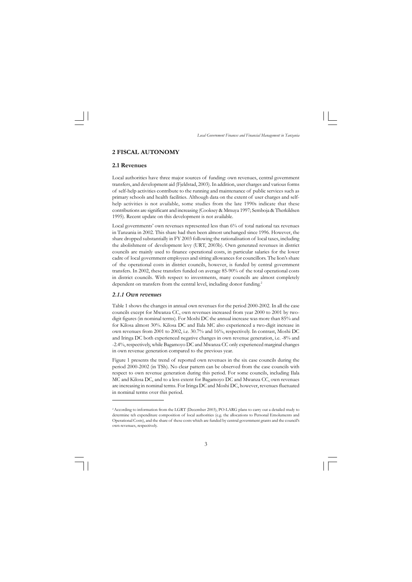*Local Government Finances and Financial Management in Tanzania*

#### **2 FISCAL AUTONOMY**

#### **2.1 Revenues**

Local governments' own revenues represented less than 6% of total national tax revenues in Tanzania in 2002. This share had then been almost unchanged since 1996. However, the share dropped substantially in FY 2003 following the rationalisation of local taxes, including the abolishment of development levy (URT, 2003b). Own generated revenues in district councils are mainly used to finance operational costs, in particular salaries for the lower cadre of local government employees and sitting allowances for councillors. The lion's share of the operational costs in district councils, however, is funded by central government transfers. In 2002, these transfers funded on average 85-90% of the total operational costs in district councils. With respect to investments, many councils are almost completely dependent on transfers from the central level, including donor funding.<sup>2</sup>

Local authorities have three major sources of funding: own revenues, central government transfers, and development aid (Fjeldstad, 2003). In addition, user charges and various forms of self-help activities contribute to the running and maintenance of public services such as primary schools and health facilities. Although data on the extent of user charges and selfhelp activities is not available, some studies from the late 1990s indicate that these contributions are significant and increasing (Cooksey & Mmuya 1997; Semboja & Therkildsen 1995). Recent update on this development is not available.

#### *2.1.1 Own revenues*

Table 1 shows the changes in annual own revenues for the period 2000-2002. In all the case councils except for Mwanza CC, own revenues increased from year 2000 to 2001 by twodigit figures (in nominal terms). For Moshi DC the annual increase was more than 85% and for Kilosa almost 30%. Kilosa DC and Ilala MC also experienced a two-digit increase in own revenues from 2001 to 2002, i.e. 30.7% and 16%, respectively. In contrast, Moshi DC and Iringa DC both experienced negative changes in own revenue generation, i.e. -8% and -2.4%, respectively, while Bagamoyo DC and Mwanza CC only experienced marginal changes in own revenue generation compared to the previous year.

Figure 1 presents the trend of reported own revenues in the six case councils during the period 2000-2002 (in TSh). No clear pattern can be observed from the case councils with respect to own revenue generation during this period. For some councils, including Ilala MC and Kilosa DC, and to a less extent for Bagamoyo DC and Mwanza CC, own revenues are increasing in nominal terms. For Iringa DC and Moshi DC, however, revenues fluctuated in nominal terms over this period.

<sup>2</sup>According to information from the LGRT (December 2003), PO-LARG plans to carry out a detailed study to determine teh expenditure composition of local authorities (e.g. the allocations to Personal Emoluments and Operational Costs), and the share of these costs which are funded by central government grants and the council's own revenues, respectively.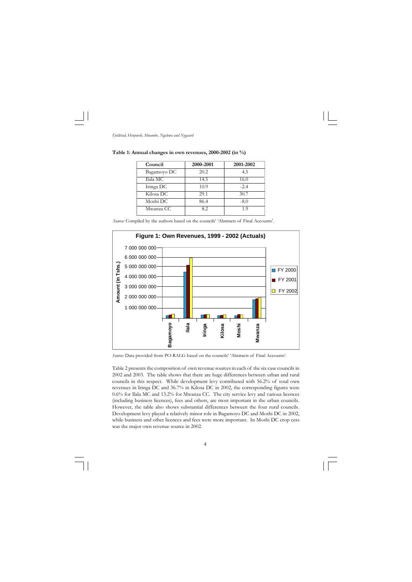*Fjeldstad, Henjewele, Mwambe, Ngalewa and Nygaard*

*Source:* Compiled by the authors based on the councils' 'Abstracts of Final Accounts'.

**Table 1: Annual changes in own revenues, 2000-2002 (in %)**

| Council     | 2000-2001 | 2001-2002 |
|-------------|-----------|-----------|
| Bagamoyo DC | 20.2      | 4.5       |
| Ilala MC    | 14.5      | 16.0      |
| Iringa DC   | 10.9      | $-2.4$    |
| Kilosa DC   | 29.1      | 30.7      |
| Moshi DC    | 86.4      | $-8.0$    |
| Mwanza CC   | 8.2.      | 1 O       |



*Source:* Data provided from PO-RALG based on the councils' 'Abstracts of Final Accounts'.

Table 2 presents the composition of own revenue sources in each of the six case councils in 2002 and 2003. The table shows that there are huge differences between urban and rural councils in this respect. While development levy contributed with 56.2% of total own revenues in Iringa DC and 36.7% in Kilosa DC in 2002, the corresponding figures were 0.6% for Ilala MC and 13.2% for Mwanza CC. The city service levy and various licences (including business licences), fees and others, are most important in the urban councils. However, the table also shows substantial differences between the four rural councils. Development levy played a relatively minor role in Bagamoyo DC and Moshi DC in 2002, while business and other licences and fees were more important. In Moshi DC crop cess was the major own revenue source in 2002.

 $\overline{\neg}$  $\sqrt{1}$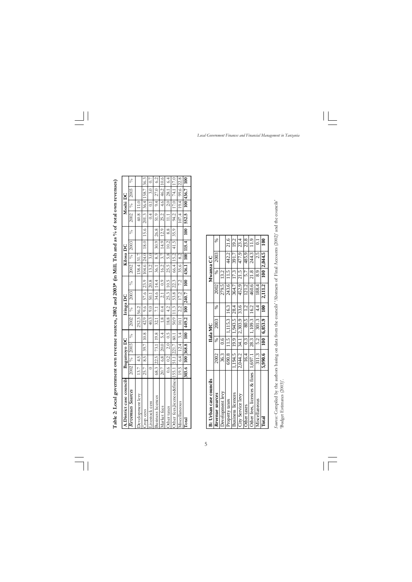*Local Government Finances and Financial Management in Tanzania*

 $\overline{\mathbb{F}}_{\mathbb{F}}$  $\sqrt{\overline{\phantom{0}}\phantom{0}}$ 

| Table 2: Local government own revenue sources, 2002 and 2003* (in Mill. Tsh and as % of total own revenues) |                           |     |                       |     |            |                        |                   |               |                                                                                                      |           |        |      |                   |          |                   |      |
|-------------------------------------------------------------------------------------------------------------|---------------------------|-----|-----------------------|-----|------------|------------------------|-------------------|---------------|------------------------------------------------------------------------------------------------------|-----------|--------|------|-------------------|----------|-------------------|------|
| A.District case councils                                                                                    |                           |     | Bagamoyo DC           |     |            | Iringa DC              |                   |               |                                                                                                      | Kilosa DC |        |      |                   | Moshi DC |                   |      |
| Revenues Sources                                                                                            |                           |     | $2002$   %   2003   % |     | 2002       | $\frac{1}{\sqrt{6}}$   | 2003              | $\frac{6}{6}$ | 2002                                                                                                 |           | % 2003 | Ş    | $2002$   %   2003 |          |                   | ℅    |
| evelopment levy                                                                                             | 13.7                      | 4.5 |                       |     | 252.3 56.2 |                        |                   |               | 138.4 31.7                                                                                           |           |        |      | 60.8              | 11.0     |                   |      |
| top cess                                                                                                    | 25.7                      | 8.5 | 39.7   10.8           |     | 42.9       |                        |                   |               | $9.6$   57.6   23.9   104.6   24.0   18.0                                                            |           |        | 15.6 | 201.3 36.4 158.7  |          |                   | 36.3 |
| <b>AVESTOCK</b> CESS                                                                                        |                           |     |                       |     | 40.3       | 0.0                    | 50.1              | 20.8          | 13.2                                                                                                 | 3.0       |        |      | 0.4               | 0.1      | $3.0 -$           | 0.7  |
| Business licences                                                                                           |                           |     | 68.3 22.5 73.1 19.8   |     | 32.1       | 7.1                    |                   | 34.6 14.4     | $36.1$ 8.3 30.9 26.8                                                                                 |           |        |      | 51.9              |          | $9.4$ 27.0        | 6.2  |
| larket fees                                                                                                 | 20.7                      |     | $6.8$ 20.0            | 5.4 | $1.8$ 0.4  |                        |                   |               | $2.1$   0.9   16.2   3.7   14.9   12.9                                                               |           |        |      | 25.2              | 4.6      | 46.2              | 10.6 |
| )ther taxes                                                                                                 | $\frac{6}{10}$            |     | $0.2$ $2.0$ 0.5       |     | 18.8       | 4.2                    |                   |               | $\begin{array}{ c c c c c c c c c } \hline 25.3 & 10.5 & 25.5 & 5.8 & 10.2 & 8.8 \hline \end{array}$ |           |        |      | 11.1              | 2.0      | 28.1              | 6.4  |
| ther fees,licences&fines                                                                                    |                           |     | 155.1 51.1 221.7 60.1 |     |            | $50.9$  11.3           | 53.8 22.3         |               | $66.4$   15.2  41.5                                                                                  |           |        | 35.9 | 94.2              | 17.0     | 74.1              | 17.0 |
| Ascellaneous                                                                                                |                           |     | 19.5   6.4   12.4     | 3.4 | 10.1       | $\frac{2.2}{\sqrt{2}}$ | 17.2              | 7.2           | 35.6                                                                                                 | 8.2       |        |      | 107.4   19.4      |          | 99.6 22.8         |      |
| $\Gamma$ otal                                                                                               | 303.6   100   368.8   100 |     |                       |     |            |                        | $449.2$ 100 240.7 | 100           | 436.1   100   115.4                                                                                  |           |        |      | 100 552.5         |          | 100   436.7   100 |      |

 $\hspace{0.1cm}\rule{0.7cm}{0.1cm}\hspace{0.1cm}$ 

Soures: Compiled by the authors basing on data from the councils' 'Abstracts of Final Accounts (2002)' and the councils'<br>'Budget Estimates (2003)'. *Sources:* Compiled by the authors basing on data from the councils' 'Abstracts of Final Accounts (2002)' and the councils' 'Budget Estimates (2003)'.

| <b>B</b> : Urban case councils   |         |      | Ilala MC         |               |         | Mwanza CC  |             |               |
|----------------------------------|---------|------|------------------|---------------|---------|------------|-------------|---------------|
| Revenue sources                  | 2002    |      | 2003             | S,            | 2002    |            | 2003        |               |
| evelopment levy                  | 36.3    | 0.6  |                  |               | 279.5   | 13.2       |             |               |
| roperty taxes                    | 690.8   | 11.5 | 1,115.3 16.3     |               |         | 243.6 11.5 | 442.2       | 21.6          |
| Business licences                | ,194.5  |      | $19.9$   1,943.5 | 28.4          | 364.7   | 17.3       | 391.7       | 19.2          |
| City Service levy                | 2,044.2 |      | 34.1 2,303.9     | 33.6          | 452.9   | 21.5       | 477.9       | 23.4          |
| Other taxes                      | 16.4    | 0.3  | 80.5             | 1.2           | 121.2   | 5.7        | 485.9       | 23.8          |
| ) ther fees, licences $\&$ fines | 1,697.1 | 28.3 | 1,109.3          | 16.2          | 460.6   | 21.8       | 244.3       | $\frac{1}{2}$ |
| discellaneous                    | 311.3   | 5.2  | 301.3            | $\frac{4}{3}$ | 188.4   | 8.9        | 2.5         |               |
| $\rm{Iot}a$                      | 5,990.6 |      | 100   6,853.9    | 100           | 2,111.2 |            | 100 2,044.5 | $\mathbf{S}$  |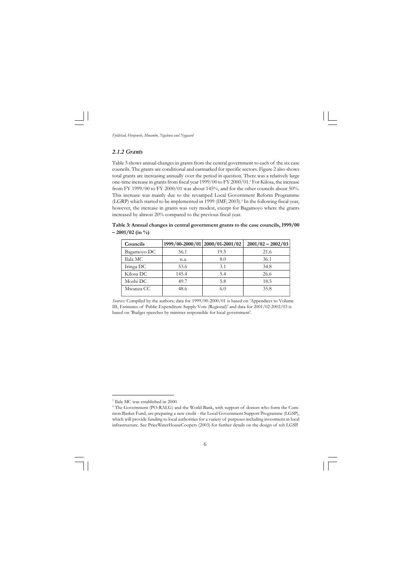*Fjeldstad, Henjewele, Mwambe, Ngalewa and Nygaard*

#### *2.1.2 Grants*

Table 3 shows annual changes in grants from the central government to each of the six case councils. The grants are conditional and earmarked for specific sectors. Figure 2 also shows total grants are increasing annually over the period in question. There was a relatively large one-time increase in grants from fiscal year 1999/00 to FY 2000/01.<sup>3</sup> For Kilosa, the increase from FY 1999/00 to FY 2000/01 was about 145%, and for the other councils about 50%. This increase was mainly due to the revamped Local Government Reform Programme (LGRP) which started to be implemented in 1999 (IMF, 2003).<sup>4</sup> In the following fiscal year, however, the increase in grants was very modest, except for Bagamoyo where the grants increased by almost 20% compared to the previous fiscal year.

**Table 3: Annual changes in central government grants to the case councils, 1999/00 – 2001/02 (in %)**

| Councils    |       | 1999/00-2000/01 2000/01-2001/02 | $2001/02 - 2002/03$ |
|-------------|-------|---------------------------------|---------------------|
| Bagamoyo DC | 56.1  | 19.5                            | 21.6                |
| Ilala MC    | n.a.  | 8.0                             | 36.1                |
| Iringa DC   | 53.6  | 3.1                             | 34.8                |
| Kilosa DC   | 145.4 | 5.4                             | 26.6                |
| Moshi DC    | 49.7  | 5.8                             | 18.5                |
| Mwanza CC   | 48.6  |                                 | 35.8                |

*Sources:* Compiled by the authors; data for 1999/00-2000/01 is based on 'Appendices to Volume III, Estimates of Public Expenditure Supply Vote (Regional)' and data for 2001/02-2002/03 is based on 'Budget speeches by minister responsible for local government'.

 $\overline{\neg}$  $\sqrt{2}$ 

<sup>3</sup> Ilala MC was established in 2000.

<sup>4</sup> The Government (PO-RALG) and the World Bank, with support of donors who form the Common Basket Fund, are preparing a new credit - the Local Government Support Programme (LGSP), which will provide funding to local authorities for a variety of purposes including investment in local infrastructure. See PriceWaterHouseCoopers (2003) for further details on the design of teh LGSP.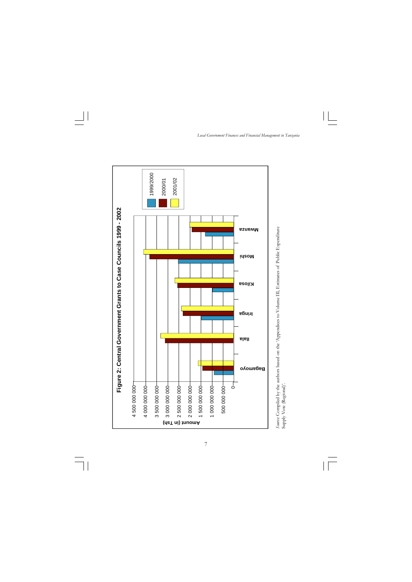*Local Government Finances and Financial Management in Tanzania*

 $\mathbf{||}$ 

 $\overline{\mathbb{u}}$ 



 $\overline{\phantom{a}}$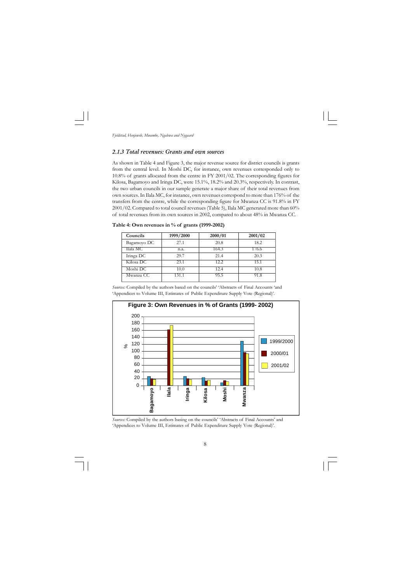*Fjeldstad, Henjewele, Mwambe, Ngalewa and Nygaard*

#### *2.1.3 Total revenues: Grants and own sources*

As shown in Table 4 and Figure 3, the major revenue source for district councils is grants from the central level. In Moshi DC, for instance, own revenues corresponded only to 10.8% of grants allocated from the centre in FY 2001/02. The corresponding figures for Kilosa, Bagamoyo and Iringa DC, were 15.1%, 18.2% and 20.3%, respectively. In contrast, the two urban councils in our sample generate a major share of their total revenues from own sources. In Ilala MC, for instance, own revenues correspond to more than 176% of the transfers from the centre, while the corresponding figure for Mwanza CC is 91.8% in FY 2001/02. Compared to total council revenues (Table 5), Ilala MC generated more than 60% of total revenues from its own sources in 2002, compared to about 48% in Mwanza CC.

#### **Table 4: Own revenues in % of grants (1999-2002)**

| Councils    | 1999/2000 | 2000/01 | 2001/02 |
|-------------|-----------|---------|---------|
| Bagamoyo DC | 27.1      | 20.8    | 18.2    |
| Ilala MC    | n.a.      | 164.3   | 176.6   |
| Iringa DC   | 29.7      | 21.4    | 20.3    |
| Kilosa DC   | 23.1      | 12.2    | 15.1    |
| Moshi DC    | 10.0      | 12.4    | 10.8    |
| Mwanza CC   | 131.1     | 95.5    | 91.8    |

*Sources:* Compiled by the authors based on the councils' 'Abstracts of Final Accounts 'and 'Appendices to Volume III, Estimates of Public Expenditure Supply Vote (Regional)'.



*Sources:* Compiled by the authors basing on the councils' 'Abstracts of Final Accounts' and 'Appendices to Volume III, Estimates of Public Expenditure Supply Vote (Regional)'.

 $\overline{\neg}$  $\sqrt{2}$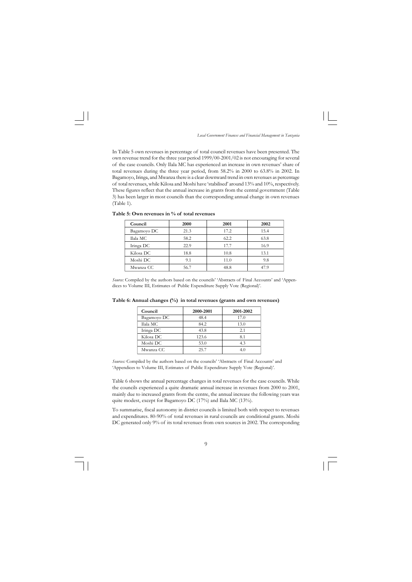$\boxed{\phantom{1}}$  $\sqrt{2}$ 

*Local Government Finances and Financial Management in Tanzania*

In Table 5 own revenues in percentage of total council revenues have been presented. The own revenue trend for the three year period 1999/00-2001/02 is not encouraging for several of the case councils. Only Ilala MC has experienced an increase in own revenues' share of total revenues during the three year period, from 58.2% in 2000 to 63.8% in 2002. In Bagamoyo, Iringa, and Mwanza there is a clear downward trend in own revenues as percentage of total revenues, while Kilosa and Moshi have 'stabilised' around 13% and 10%, respectively. These figures reflect that the annual increase in grants from the central government (Table 3) has been larger in most councils than the corresponding annual change in own revenues (Table 1).

#### **Table 5: Own revenues in % of total revenues**

| Council     | <b>2000</b> | 2001 | 2002 |
|-------------|-------------|------|------|
| Bagamoyo DC | 21.3        | 17.2 | 15.4 |
| Ilala MC    | 58.2        | 62.2 | 63.8 |
| Iringa DC   | 22.9        | 17.7 | 16.9 |
| Kilosa DC   | 18.8        | 10.8 | 13.1 |
| Moshi DC    | 9.1         | 11.0 | 9.8  |
| Mwanza CC   | 56.7        | 48.8 | 47.9 |

*Source:* Compiled by the authors based on the councils' 'Abstracts of Final Accounts' and 'Appendices to Volume III, Estimates of Public Expenditure Supply Vote (Regional)'.

| Council     | 2000-2001 | 2001-2002 |
|-------------|-----------|-----------|
| Bagamoyo DC | 48.4      | 17.0      |
| Ilala MC    | 84.2      | 13.0      |
| Iringa DC   | 43.8      | 2.1       |
| Kilosa DC   | 123.6     | 8.1       |
| Moshi DC    | 53.0      | 4.3       |
| Mwanza CC   | 25.7      |           |

**Table 6: Annual changes (%) in total revenues (grants and own revenues)**

*Sources:* Compiled by the authors based on the councils' 'Abstracts of Final Accounts' and 'Appendices to Volume III, Estimates of Public Expenditure Supply Vote (Regional)'.

Table 6 shows the annual percentage changes in total revenues for the case councils. While the councils experienced a quite dramatic annual increase in revenues from 2000 to 2001, mainly due to increased grants from the centre, the annual increase the following years was quite modest, except for Bagamoyo DC (17%) and Ilala MC (13%).

To summarise, fiscal autonomy in district councils is limited both with respect to revenues and expenditures. 80-90% of total revenues in rural councils are conditional grants. Moshi DC generated only 9% of its total revenues from own sources in 2002. The corresponding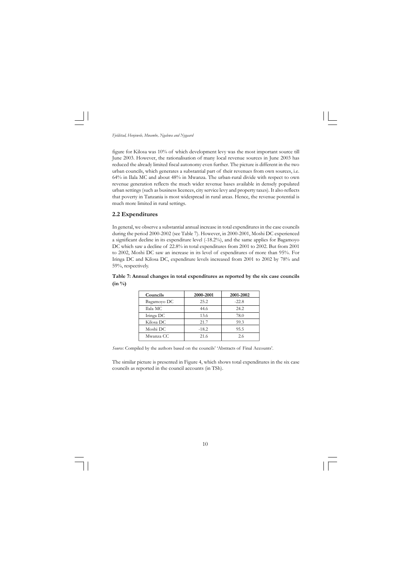figure for Kilosa was 10% of which development levy was the most important source till June 2003. However, the rationalisation of many local revenue sources in June 2003 has reduced the already limited fiscal autonomy even further. The picture is different in the two urban councils, which generates a substantial part of their revenues from own sources, i.e. 64% in Ilala MC and about 48% in Mwanza. The urban-rural divide with respect to own revenue generation reflects the much wider revenue bases available in densely populated urban settings (such as business licences, city service levy and property taxes). It also reflects that poverty in Tanzania is most widespread in rural areas. Hence, the revenue potential is much more limited in rural settings.

#### **2.2 Expenditures**

In general, we observe a substantial annual increase in total expenditures in the case councils during the period 2000-2002 (see Table 7). However, in 2000-2001, Moshi DC experienced a significant decline in its expenditure level (-18.2%), and the same applies for Bagamoyo DC which saw a decline of 22.8% in total expenditures from 2001 to 2002. But from 2001 to 2002, Moshi DC saw an increase in its level of expenditures of more than 95%. For Iringa DC and Kilosa DC, expenditure levels increased from 2001 to 2002 by 78% and 59%, respectively.

**Table 7: Annual changes in total expenditures as reported by the six case councils (in %)**

| Councils    | 2000-2001 | 2001-2002 |
|-------------|-----------|-----------|
| Bagamoyo DC | 25.2      | $-22.8$   |
| Ilala MC    | 44.6      | 24.2      |
| Iringa DC   | 13.6      | 78.0      |
| Kilosa DC   | 21.7      | 59.3      |
| Moshi DC    | $-18.2$   | 95.5      |
| Mwanza CC   | 21.6      | 2.6       |

*Source:* Compiled by the authors based on the councils' 'Abstracts of Final Accounts'.

The similar picture is presented in Figure 4, which shows total expenditures in the six case councils as reported in the council accounts (in TSh).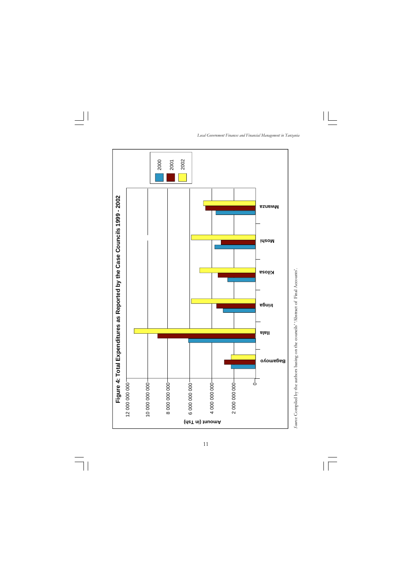*Local Government Finances and Financial Management in Tanzania*

 $\|\cdot\|$ 

 $\overline{\overline{\mathbb{u}}}$ 



 $\overline{\phantom{a}}$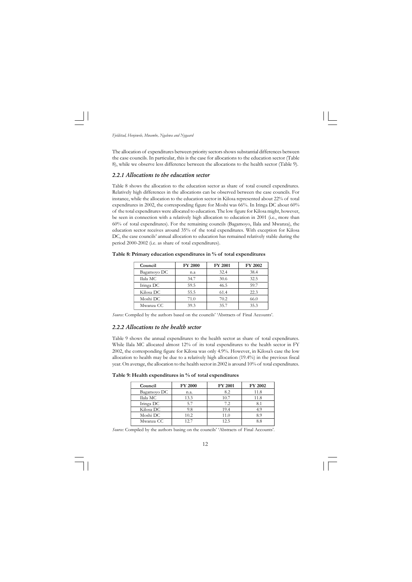The allocation of expenditures between priority sectors shows substantial differences between the case councils. In particular, this is the case for allocations to the education sector (Table 8), while we observe less difference between the allocations to the health sector (Table 9).

#### *2.2.1 Allocations to the education sector*

Table 8 shows the allocation to the education sector as share of total council expenditures. Relatively high differences in the allocations can be observed between the case councils. For instance, while the allocation to the education sector in Kilosa represented about 22% of total expenditures in 2002, the corresponding figure for Moshi was 66%. In Iringa DC about 60% of the total expenditures were allocated to education. The low figure for Kilosa might, however, be seen in connection with a relatively high allocation to education in 2001 (i.e., more than 60% of total expenditures). For the remaining councils (Bagamoyo, Ilala and Mwanza), the education sector receives around 35% of the total expenditures. With exception for Kilosa DC, the case councils' annual allocation to education has remained relatively stable during the period 2000-2002 (i.e. as share of total expenditures).

| Council     | <b>FY 2000</b> | <b>FY 2001</b> | <b>FY 2002</b> |
|-------------|----------------|----------------|----------------|
| Bagamoyo DC | n.a            | 32.4           | 38.4           |
| Ilala MC    | 34.7           | 30.6           | 32.5           |
| Iringa DC   | 59.5           | 46.5           | 59.7           |
| Kilosa DC   | 55.5           | 61.4           | 22.3           |
| Moshi DC    | 71.0           | 70.2           | 66.0           |
| Mwanza CC   | 39.3           | 35.7           | 35.3           |

**Table 8: Primary education expenditures in % of total expenditures**

*Source:* Compiled by the authors based on the councils' 'Abstracts of Final Accounts'.

#### *2.2.2 Allocations to the health sector*

Table 9 shows the annual expenditures to the health sector as share of total expenditures. While Ilala MC allocated almost 12% of its total expenditures to the health sector in FY 2002, the corresponding figure for Kilosa was only 4.9%. However, in Kilosa's case the low allocation to health may be due to a relatively high allocation (19.4%) in the previous fiscal year. On average, the allocation to the health sector in 2002 is around 10% of total expenditures.

**Table 9: Health expenditures in % of total expenditures** 

| Council     | <b>FY 2000</b> | <b>FY 2001</b> | <b>FY 2002</b> |
|-------------|----------------|----------------|----------------|
| Bagamoyo DC | n.a.           | 8.2            | 11.8           |
| Ilala MC    | 13.3           | 10.7           | 11.8           |
| Iringa DC   | 5.7            | 7.2            | 8.1            |
| Kilosa DC   | 9.8            | 19.4           | 4.9            |
| Moshi DC    | 10.2           | 11.0           | 8.9            |
| Mwanza CC   | 127            | 12.5           | 88             |

Source: Compiled by the authors basing on the councils' 'Abstracts of Final Accounts'.

12  $\sqrt{2}$  $\Box$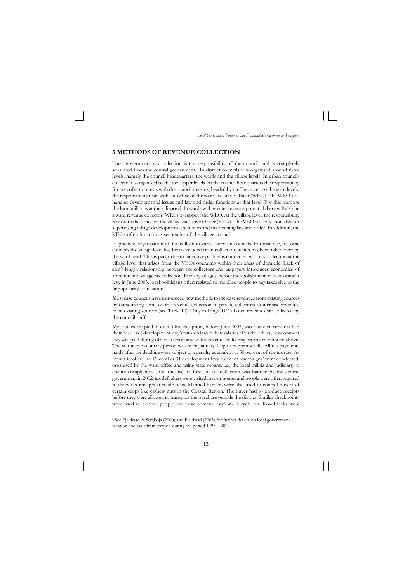*Local Government Finances and Financial Management in Tanzania*

#### **3 METHODS OF REVENUE COLLECTION**

Local government tax collection is the responsibility of the council, and is completely separated from the central government. In district councils it is organised around three levels, namely the council headquarters, the wards and the village levels. In urban councils collection is organised by the two upper levels. At the council headquarters the responsibility for tax collection rests with the council treasury, headed by the Treasurer. At the ward levels, the responsibility rests with the office of the ward executive officer (WEO). The WEO also handles developmental issues and law-and-order functions at that level. For this purpose the local militia is at their disposal. In wards with greater revenue potential there will also be a ward revenue collector (WRC) to support the WEO. At the village level, the responsibility rests with the office of the village executive officer (VEO). The VEO is also responsible for supervising village developmental activities and maintaining law and order. In addition, the VEOs often function as secretaries of the village council.

In practice, organisation of tax collection varies between councils. For instance, in some councils the village level has been excluded from collection, which has been taken over by the ward level. This is partly due to incentive problems connected with tax collection at the village level that arises from the VEOs operating within their areas of domicile. Lack of arm's-length relationship between tax collectors and taxpayers introduces economics of affection into village tax collection. In many villages, before the abolishment of development levy in June 2003, local politicians often resisted to mobilise people to pay taxes due to the unpopularity of taxation.

Most case councils have introduced new methods to increase revenues from existing sources by outsourcing some of the revenue collection to private collectors to increase revenues from existing sources (see Table 10). Only in Iringa DC all own revenues are collected by the council staff.

Most taxes are paid in cash. One exception, before June 2003, was that civil servants had their head tax ('development levy') withheld from their salaries.<sup>5</sup> For the others, development levy was paid during office hours at any of the revenue collecting centres mentioned above. The statutory voluntary period was from January 1 up to September 30. All tax payments made after the deadline were subject to a penalty equivalent to 50 per cent of the tax rate. As from October 1 to December 31 development levy payment 'campaigns' were conducted, organised by the ward office and using state organs, i.e., the local militia and judiciary, to ensure compliance. Until the use of force in tax collection was banned by the central government in 2002, tax defaulters were visited in their homes and people were often required to show tax receipts at roadblocks. Manned barriers were also used to control buyers of certain crops like cashew nuts in the Coastal Region. The buyer had to produce receipts before they were allowed to transport the purchase outside the district. Similar checkpoints were used to control people for 'development levy' and bicycle tax. Roadblocks were

<sup>&</sup>lt;sup>5</sup> See Fjeldstad & Semboja (2000) and Fjeldstad (2003) for further details on local government taxation and tax administration during the period 1995 - 2002.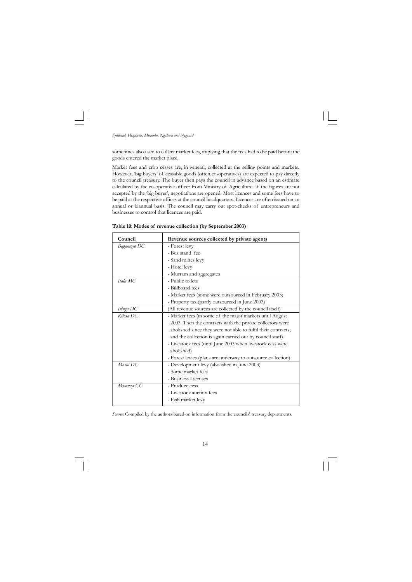*Fjeldstad, Henjewele, Mwambe, Ngalewa and Nygaard*

sometimes also used to collect market fees, implying that the fees had to be paid before the goods entered the market place.

Market fees and crop cesses are, in general, collected at the selling points and markets. However, 'big buyers' of cessable goods (often co-operatives) are expected to pay directly to the council treasury. The buyer then pays the council in advance based on an estimate calculated by the co-operative officer from Ministry of Agriculture. If the figures are not accepted by the 'big buyer', negotiations are opened. Most licences and some fees have to be paid at the respective offices at the council headquarters. Licences are often issued on an annual or biannual basis. The council may carry out spot-checks of entrepreneurs and businesses to control that licences are paid.

#### **Table 10: Modes of revenue collection (by September 2003)**

Source: Compiled by the authors based on information from the councils' treasury departments.

 $\overline{\neg}$  $\sqrt{1}$ 

| Council     | Revenue sources collected by private agents                   |
|-------------|---------------------------------------------------------------|
| Bagamoyo DC | - Forest levy                                                 |
|             | - Bus stand fee                                               |
|             | - Sand mines levy                                             |
|             | - Hotel levy                                                  |
|             | - Murram and aggregates                                       |
| Ilala MC    | - Public toilets                                              |
|             | - Billboard fees                                              |
|             | - Market fees (some were outsourced in February 2003)         |
|             | - Property tax (partly outsourced in June 2003)               |
| Iringa DC   | (All revenue sources are collected by the council itself)     |
| Kilosa DC   | - Market fees (in some of the major markets until August      |
|             | 2003. Then the contracts with the private collectors were     |
|             | abolished since they were not able to fulfil their contracts, |
|             | and the collection is again carried out by council staff).    |
|             | - Livestock fees (until June 2003 when livestock cess were    |
|             | abolished)                                                    |
|             | - Forest levies (plans are underway to outsource collection)  |
| Moshi DC    | - Development levy (abolished in June 2003)                   |
|             | - Some market fees                                            |
|             | - Business Licenses                                           |
| Mwanza CC   | - Produce cess                                                |
|             | - Livestock auction fees                                      |
|             | - Fish market levy                                            |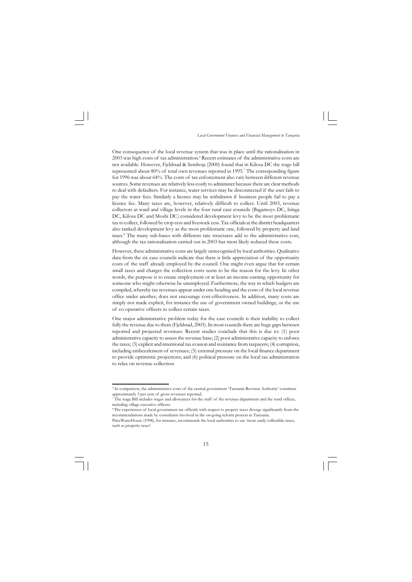*Local Government Finances and Financial Management in Tanzania*

One consequence of the local revenue system that was in place until the rationalisation in 2003 was high costs of tax administration.<sup>6</sup> Recent estimates of the administrative costs are not available. However, Fjeldstad & Semboja (2000) found that in Kilosa DC the wage bill represented about 80% of total own revenues reported in 1995.<sup>7</sup> The corresponding figure for 1996 was about 64%. The costs of tax enforcement also vary between different revenue sources. Some revenues are relatively less costly to administer because there are clear methods to deal with defaulters. For instance, water services may be disconnected if the user fails to pay the water fees. Similarly a licence may be withdrawn if business people fail to pay a licence fee. Many taxes are, however, relatively difficult to collect. Until 2003, revenue collectors at ward and village levels in the four rural case councils (Bagamoyo DC, Iringa DC, Kilosa DC and Moshi DC) considered development levy to be the most problematic tax to collect, followed by crop cess and livestock cess. Tax officials at the district headquarters also ranked development levy as the most problematic one, followed by property and land taxes.<sup>8</sup> The many sub-bases with different rate structures add to the administrative cost, although the tax rationalisation carried out in 2003 has most likely reduced these costs.

However, these administrative costs are largely unrecognised by local authorities. Qualitative data from the six case councils indicate that there is little appreciation of the opportunity costs of the staff already employed by the council. One might even argue that for certain small taxes and charges the collection costs seem to be the reason for the levy. In other words, the purpose is to create employment or at least an income-earning opportunity for someone who might otherwise be unemployed. Furthermore, the way in which budgets are compiled, whereby tax revenues appear under one heading and the costs of the local revenue office under another, does not encourage cost-effectiveness. In addition, many costs are simply not made explicit, for instance the use of government owned buildings, or the use of co-operative officers to collect certain taxes.

One major administrative problem today for the case councils is their inability to collect fully the revenue due to them (Fjeldstad, 2003). In most councils there are huge gaps between reported and projected revenues. Recent studies conclude that this is due to: (1) poor administrative capacity to assess the revenue base; (2) poor administrative capacity to enforce the taxes; (3) explicit and intentional tax evasion and resistance from taxpayers; (4) corruption, including embezzlement of revenues; (5) external pressure on the local finance department to provide optimistic projections; and (6) political pressure on the local tax administration to relax on revenue collection.

<sup>6</sup> In comparison, the administrative costs of the central government 'Tanzania Revenue Authority' constitute approximately 3 per cent of gross revenues reported.

<sup>7</sup> The wage Bill includes wages and allowances for the staff of the revenue department and the ward offices, including village executive officers.

<sup>8</sup>The experiences of local government tax officials with respect to propety taxes diverge significantly from the recommendations made by consultants involved in the on-going reform process in Tanzania.

PriceWaterHouse (1998), for instance, recommends the local authorities to use 'more easily collectible taxes, such as property taxes'.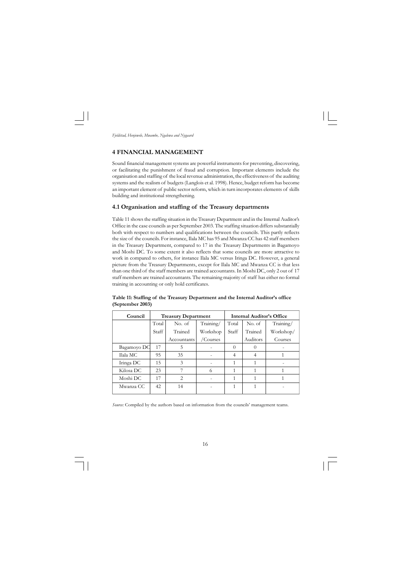#### **4 FINANCIAL MANAGEMENT**

Sound financial management systems are powerful instruments for preventing, discovering, or facilitating the punishment of fraud and corruption. Important elements include the organisation and staffing of the local revenue administration, the effectiveness of the auditing systems and the realism of budgets (Langlois et al. 1998). Hence, budget reform has become an important element of public sector reform, which in turn incorporates elements of skills building and institutional strengthening.

#### **4.1 Organisation and staffing of the Treasury departments**

Table 11 shows the staffing situation in the Treasury Department and in the Internal Auditor's Office in the case councils as per September 2003. The staffing situation differs substantially both with respect to numbers and qualifications between the councils. This partly reflects the size of the councils. For instance, Ilala MC has 95 and Mwanza CC has 42 staff members in the Treasury Department, compared to 17 in the Treasury Departments in Bagamoyo and Moshi DC. To some extent it also reflects that some councils are more attractive to work in compared to others, for instance Ilala MC versus Iringa DC. However, a general picture from the Treasury Departments, except for Ilala MC and Mwanza CC is that less than one third of the staff members are trained accountants. In Moshi DC, only 2 out of 17 staff members are trained accountants. The remaining majority of staff has either no formal training in accounting or only hold certificates.

| Table 11: Staffing of the Treasury Department and the Internal Auditor's office |  |  |  |
|---------------------------------------------------------------------------------|--|--|--|
| (September 2003)                                                                |  |  |  |

| (September 2003) |       |                            |                |  |                                  |           |
|------------------|-------|----------------------------|----------------|--|----------------------------------|-----------|
| Council          |       | <b>Treasury Department</b> |                |  | <b>Internal Auditor's Office</b> |           |
|                  | Total | No. of                     | Training/      |  | Total No. of                     | Training/ |
|                  | Staff | Trained                    | Workshop Staff |  | Trained                          | Workshop/ |

Bagamoyo DC  $17$  5 - 0 0 0 Ilala MC | 95 | 35 | - | 4 | 4 | 1 Iringa DC  $\begin{vmatrix} 15 & 3 & 1 & -1 & 1 & 1 & -1 \\ 1 & 1 & 1 & 1 & -1 & -1 \end{vmatrix}$ Kilosa DC 23 7 6 1 1 1 Moshi DC  $\begin{array}{|c|c|c|c|c|c|c|c|c|} \hline 17 & 2 & - & 1 & 1 & 1 \ \hline \end{array}$ Mwanza CC | 42 | 14 | - | 1 | 1 | -

Accountants / Courses Auditors Courses

*Source:* Compiled by the authors based on information from the councils' management teams.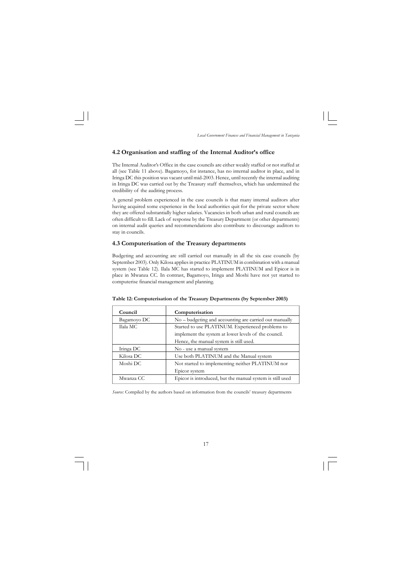#### **4.2 Organisation and staffing of the Internal Auditor's office**

The Internal Auditor's Office in the case councils are either weakly staffed or not staffed at all (see Table 11 above). Bagamoyo, for instance, has no internal auditor in place, and in Iringa DC this position was vacant until mid-2003. Hence, until recently the internal auditing in Iringa DC was carried out by the Treasury staff themselves, which has undermined the credibility of the auditing process.

A general problem experienced in the case councils is that many internal auditors after having acquired some experience in the local authorities quit for the private sector where they are offered substantially higher salaries. Vacancies in both urban and rural councils are often difficult to fill. Lack of response by the Treasury Department (or other departments) on internal audit queries and recommendations also contribute to discourage auditors to stay in councils.

#### **4.3 Computerisation of the Treasury departments**

Budgeting and accounting are still carried out manually in all the six case councils (by September 2003). Only Kilosa applies in practice PLATINUM in combination with a manual system (see Table 12). Ilala MC has started to implement PLATINUM and Epicor is in place in Mwanza CC. In contrast, Bagamoyo, Iringa and Moshi have not yet started to computerise financial management and planning.

#### **Table 12: Computerisation of the Treasury Departments (by September 2003)**

| Council     | Computerisation                                           |  |
|-------------|-----------------------------------------------------------|--|
| Bagamoyo DC | No - budgeting and accounting are carried out manually    |  |
| Ilala MC    | Started to use PLATINUM. Experienced problems to          |  |
|             | implement the system at lower levels of the council.      |  |
|             | Hence, the manual system is still used.                   |  |
| Iringa DC   | No - use a manual system                                  |  |
| Kilosa DC   | Use both PLATINUM and the Manual system                   |  |
| Moshi DC    | Not started to implementing neither PLATINUM nor          |  |
|             | Epicor system                                             |  |
| Mwanza CC   | Epicor is introduced, but the manual system is still used |  |

*Source:* Compiled by the authors based on information from the councils' treasury departments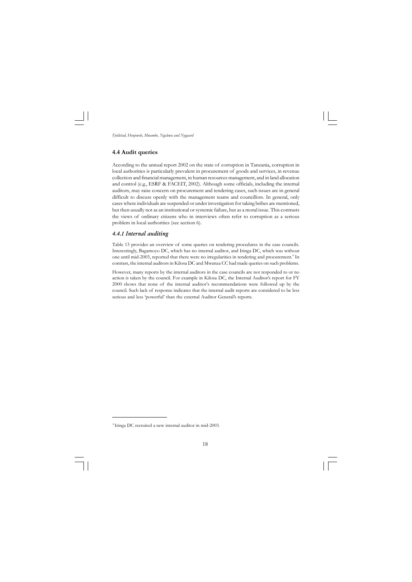#### **4.4 Audit queries**

According to the annual report 2002 on the state of corruption in Tanzania, corruption in local authorities is particularly prevalent in procurement of goods and services, in revenue collection and financial management, in human resources management, and in land allocation and control (e.g., ESRF & FACEIT, 2002). Although some officials, including the internal auditors, may raise concern on procurement and tendering cases, such issues are in general difficult to discuss openly with the management teams and councillors. In general, only cases where individuals are suspended or under investigation for taking bribes are mentioned, but then usually not as an institutional or systemic failure, but as a moral issue. This contrasts the views of ordinary citizens who in interviews often refer to corruption as a serious problem in local authorities (see section 6).

#### *4.4.1 Internal auditing*

Table 13 provides an overview of some queries on tendering procedures in the case councils. Interestingly, Bagamoyo DC, which has no internal auditor, and Iringa DC, which was without one until mid-2003, reported that there were no irregularities in tendering and procurement.<sup>9</sup> In contrast, the internal auditors in Kilosa DC and Mwanza CC had made queries on such problems.

However, many reports by the internal auditors in the case councils are not responded to or no action is taken by the council. For example in Kilosa DC, the Internal Auditor's report for FY 2000 shows that none of the internal auditor's recommendations were followed up by the council. Such lack of response indicates that the internal audit reports are considered to be less serious and less 'powerful' than the external Auditor General's reports.

<sup>&</sup>lt;sup>9</sup> Iringa DC recruited a new internal auditor in mid-2003.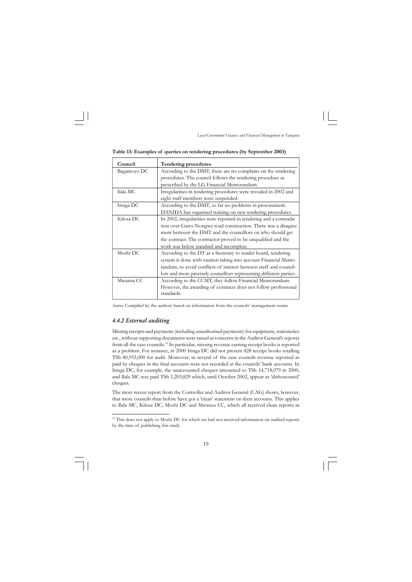<sup>&</sup>lt;sup>10</sup> This does not apply to Moshi DC for which we had not received information on audited reports by the time of publishing this study.



**Table 13: Examples of queries on tendering procedures (by September 2003)**

| Council     | <b>Tendering procedures</b>                                         |
|-------------|---------------------------------------------------------------------|
| Bagamoyo DC | According to the DMT, there are no complains on the tendering       |
|             | procedures. The council follows the tendering procedure as          |
|             | prescribed by the LG Financial Memorandum.                          |
| Ilala MC    | Irregularities in tendering procedures were revealed in 2002 and    |
|             | eight staff members were suspended.                                 |
| Iringa DC   | According to the DMT, so far no problems in procurement.            |
|             | DANIDA has organised training on new tendering procedures.          |
| Kilosa DC   | In 2002, irregularities were reported in tendering and a contradic  |
|             | tion over Gairo-Nongwe road construction. There was a disagree      |
|             | ment between the DMT and the councillors on who should get          |
|             | the contract. The contractor proved to be unqualified and the       |
|             | work was below standard and incomplete.                             |
| Moshi DC    | According to the DT as a Secretary to tender board, tendering       |
|             | system is done with caution taking into account Financial Memo      |
|             | randum, to avoid conflicts of interest between staff and council-   |
|             | lors and more precisely councillors representing different parties. |
| Mwanza CC   | According to the CCMT, they follow Financial Memorandum.            |
|             | However, the awarding of contracts does not follow professional     |
|             | standards.                                                          |

*Source:* Compiled by the authors based on information from the councils' management teams

#### *4.4.2 External auditing*

Missing receipts and payments (including unauthorised payments) for equipment, stationeries etc., without supporting documents were raised as concerns in the Auditor General's reports from all the case councils.<sup>10</sup> In particular, missing revenue earning receipt books is reported as a problem. For instance, in 2000 Iringa DC did not present 828 receipt books totalling TSh 80,955,000 for audit. Moreover, in several of the case councils revenue reported as paid by cheques in the final accounts were not recorded at the councils' bank accounts. In Iringa DC, for example, the unaccounted cheques amounted to TSh 14,718,079 in 2000, and Ilala MC was paid TSh 1,203,829 which, until October 2002, appear as 'dishonoured' cheques.

The most recent report from the Controller and Auditor General (CAG) shows, however, that more councils than before have got a 'clean' statement on their accounts. This applies to Ilala MC, Kilosa DC, Moshi DC and Mwanza CC, which all received clean reports in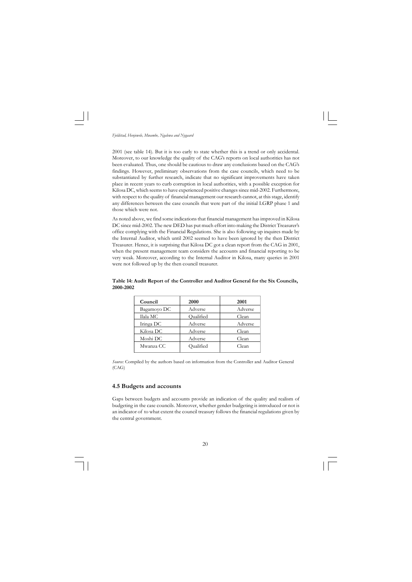*Fjeldstad, Henjewele, Mwambe, Ngalewa and Nygaard*

2001 (see table 14). But it is too early to state whether this is a trend or only accidental. Moreover, to our knowledge the quality of the CAG's reports on local authorities has not been evaluated. Thus, one should be cautious to draw any conclusions based on the CAG's findings. However, preliminary observations from the case councils, which need to be substantiated by further research, indicate that no significant improvements have taken place in recent years to curb corruption in local authorities, with a possible exception for Kilosa DC, which seems to have experienced positive changes since mid-2002. Furthermore, with respect to the quality of financial management our research cannot, at this stage, identify any differences between the case councils that were part of the initial LGRP phase 1 and those which were not.

As noted above, we find some indications that financial management has improved in Kilosa DC since mid-2002. The new DED has put much effort into making the District Treasurer's office complying with the Financial Regulations. She is also following up inquires made by the Internal Auditor, which until 2002 seemed to have been ignored by the then District Treasurer. Hence, it is surprising that Kilosa DC got a clean report from the CAG in 2001, when the present management team considers the accounts and financial reporting to be very weak. Moreover, according to the Internal Auditor in Kilosa, many queries in 2001 were not followed up by the then council treasurer.

| 2000      | 2001    |
|-----------|---------|
| Adverse   | Adverse |
| Qualified | Clean   |
| Adverse   | Adverse |
| Adverse   | Clean   |
| Adverse   | Clean   |
| Qualified | Clean   |
|           |         |

**Table 14: Audit Report of the Controller and Auditor General for the Six Councils, 2000-2002**

*Source:* Compiled by the authors based on information from the Controller and Auditor General (CAG)

#### **4.5 Budgets and accounts**

Gaps between budgets and accounts provide an indication of the quality and realism of budgeting in the case councils. Moreover, whether gender budgeting is introduced or not is an indicator of to what extent the council treasury follows the financial regulations given by the central government.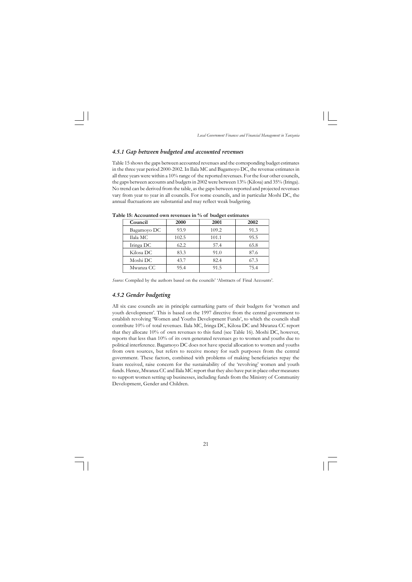#### *4.5.1 Gap between budgeted and accounted revenues*

Table 15 shows the gaps between accounted revenues and the corresponding budget estimates in the three year period 2000-2002. In Ilala MC and Bagamoyo DC, the revenue estimates in all three years were within a 10% range of the reported revenues. For the four other councils, the gaps between accounts and budgets in 2002 were between 13% (Kilosa) and 35% (Iringa). No trend can be derived from the table, as the gaps between reported and projected revenues vary from year to year in all councils. For some councils, and in particular Moshi DC, the annual fluctuations are substantial and may reflect weak budgeting.

| Council     | 2000  | 2001  | 2002 |
|-------------|-------|-------|------|
| Bagamoyo DC | 93.9  | 109.2 | 91.3 |
| Ilala MC    | 102.5 | 101.1 | 95.5 |
| Iringa DC   | 62.2  | 57.4  | 65.8 |
| Kilosa DC   | 83.3  | 91.0  | 87.6 |
| Moshi DC    | 43.7  | 82.4  | 67.3 |
| Mwanza CC   | 95.4  | 91.5  | 75.4 |
|             |       |       |      |

**Table 15: Accounted own revenues in % of budget estimates**

*Source:* Compiled by the authors based on the councils' 'Abstracts of Final Accounts'.

#### *4.5.2 Gender budgeting*

All six case councils are in principle earmarking parts of their budgets for 'women and youth development'. This is based on the 1997 directive from the central government to establish revolving 'Women and Youths Development Funds', to which the councils shall contribute 10% of total revenues. Ilala MC, Iringa DC, Kilosa DC and Mwanza CC report that they allocate 10% of own revenues to this fund (see Table 16). Moshi DC, however, reports that less than 10% of its own generated revenues go to women and youths due to political interference. Bagamoyo DC does not have special allocation to women and youths from own sources, but refers to receive money for such purposes from the central government. These factors, combined with problems of making beneficiaries repay the loans received, raise concern for the sustainability of the 'revolving' women and youth funds. Hence, Mwanza CC and Ilala MC report that they also have put in place other measures to support women setting up businesses, including funds from the Ministry of Community Development, Gender and Children.

21  $\overline{\phantom{0}}$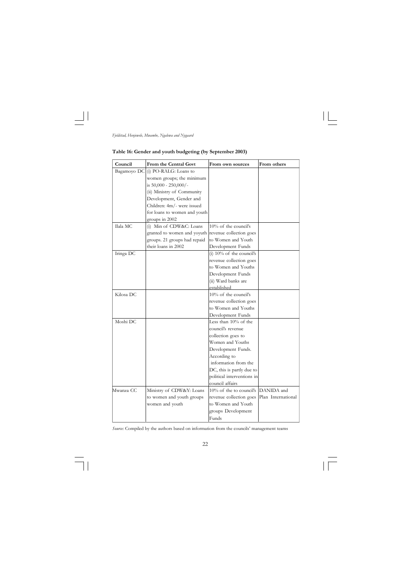

 $\mathbf{L}$ 

*Fjeldstad, Henjewele, Mwambe, Ngalewa and Nygaard*

 $\Box$ 

## **Table 16: Gender and youth budgeting (by September 2003)**

| Council     | From the Central Govt                               | From own sources            | From others        |
|-------------|-----------------------------------------------------|-----------------------------|--------------------|
| Bagamoyo DC | (i) PO-RALG: Loans to                               |                             |                    |
|             | women groups; the minimum                           |                             |                    |
|             | is 50,000 - 250,000/-                               |                             |                    |
|             | (ii) Ministry of Community                          |                             |                    |
|             | Development, Gender and                             |                             |                    |
|             | Children: 4m/- were issued                          |                             |                    |
|             | for loans to women and youth                        |                             |                    |
|             | groups in 2002                                      |                             |                    |
| Ilala MC    | (i) Min of CDW&C: Loans                             | 10% of the council's        |                    |
|             | granted to women and yoyuth revenue collection goes |                             |                    |
|             | groups. 21 groups had repaid                        | to Women and Youth          |                    |
|             | their loans in 2002                                 | Development Funds           |                    |
| Iringa DC   |                                                     | (i) $10\%$ of the council's |                    |
|             |                                                     | revenue collection goes     |                    |
|             |                                                     | to Women and Youths         |                    |
|             |                                                     | Development Funds           |                    |
|             |                                                     | (ii) Ward banks are         |                    |
|             |                                                     | established                 |                    |
| Kilosa DC   |                                                     | 10% of the council's        |                    |
|             |                                                     | revenue collection goes     |                    |
|             |                                                     | to Women and Youths         |                    |
|             |                                                     | Development Funds           |                    |
| Moshi DC    |                                                     | Less than 10% of the        |                    |
|             |                                                     | council's revenue           |                    |
|             |                                                     | collection goes to          |                    |
|             |                                                     | Women and Youths            |                    |
|             |                                                     | Development Funds.          |                    |
|             |                                                     | According to                |                    |
|             |                                                     | information from the        |                    |
|             |                                                     | DC, this is partly due to   |                    |
|             |                                                     | political interventions in  |                    |
|             |                                                     | council affairs             |                    |
| Mwanza CC   | Ministry of CDW&Y: Loans                            | $10\%$ of the to council's  | DANIDA and         |
|             | to women and youth groups                           | revenue collection goes     | Plan International |
|             | women and youth                                     | to Women and Youth          |                    |
|             |                                                     | groups Development          |                    |
|             |                                                     | Funds                       |                    |

*Source:* Compiled by the authors based on information from the councils' management teams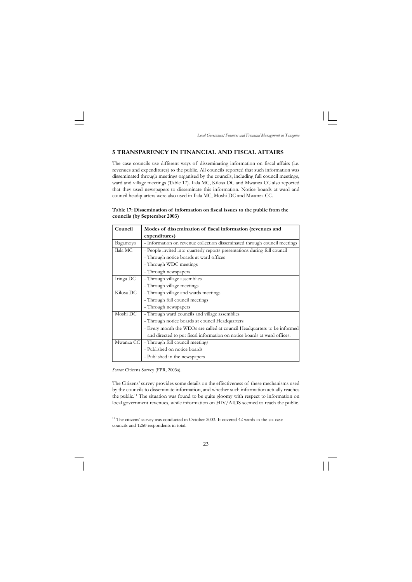<sup>&</sup>lt;sup>11</sup> The citizens' survey was conducted in October 2003. It covered 42 wards in the six case councils and 1260 respondents in total.



#### **5 TRANSPARENCY IN FINANCIAL AND FISCAL AFFAIRS**

The case councils use different ways of disseminating information on fiscal affairs (i.e. revenues and expenditures) to the public. All councils reported that such information was disseminated through meetings organised by the councils, including full council meetings, ward and village meetings (Table 17). Ilala MC, Kilosa DC and Mwanza CC also reported that they used newspapers to disseminate this information. Notice boards at ward and council headquarters were also used in Ilala MC, Moshi DC and Mwanza CC.

| Table 17: Dissemination of information on fiscal issues to the public from the |  |
|--------------------------------------------------------------------------------|--|
| councils (by September 2003)                                                   |  |

| Council   | Modes of dissemination of fiscal information (revenues and                |
|-----------|---------------------------------------------------------------------------|
|           | expenditures)                                                             |
| Bagamoyo  | - Information on revenue collection disseminated through council meetings |
| Ilala MC  | - People invited into quarterly reports presentations during full council |
|           | - Through notice boards at ward offices                                   |
|           | - Through WDC meetings                                                    |
|           | - Through newspapers                                                      |
| Iringa DC | - Through village assemblies                                              |
|           | - Through village meetings                                                |
| Kilosa DC | - Through village and wards meetings                                      |
|           | - Through full council meetings                                           |
|           | - Through newspapers                                                      |
| Moshi DC  | - Through ward councils and village assemblies                            |
|           | - Through notice boards at council Headquarters                           |
|           | - Every month the WEOs are called at council Headquarters to be informed  |
|           | and directed to put fiscal information on notice boards at ward offices.  |
| Mwanza CC | - Through full council meetings                                           |
|           | - Published on notice boards                                              |
|           | - Published in the newspapers                                             |

*Source:* Citizens Survey (FPR, 2003a).

The Citizens' survey provides some details on the effectiveness of these mechanisms used by the councils to disseminate information, and whether such information actually reaches the public.<sup>11</sup> The situation was found to be quite gloomy with respect to information on local government revenues, while information on HIV/AIDS seemed to reach the public.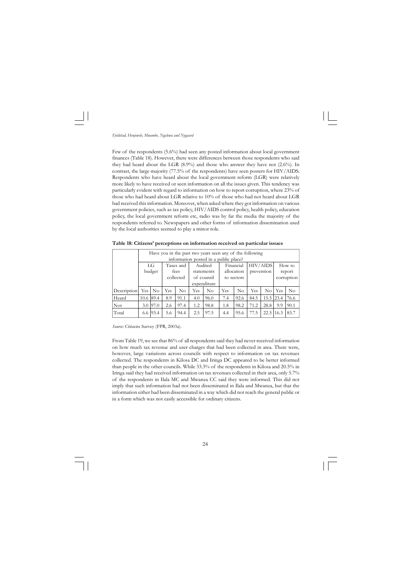

Few of the respondents (5.6%) had seen any posted information about local government finances (Table 18). However, there were differences between those respondents who said they had heard about the LGR (8.9%) and those who answer they have not (2.6%). In contrast, the large majority (77.5% of the respondents) have seen posters for HIV/AIDS. Respondents who have heard about the local government reform (LGR) were relatively more likely to have received or seen information on all the issues given. This tendency was particularly evident with regard to information on how to report corruption, where 23% of those who had heard about LGR relative to 10% of those who had not heard about LGR had received this information. Moreover, when asked where they got information on various government policies, such as tax policy, HIV/AIDS control policy, health policy, education policy, the local government reform etc, radio was by far the media the majority of the respondents referred to. Newspapers and other forms of information dissemination used by the local authorities seemed to play a minor role.

**Table 18: Citizens' perceptions on information received on particular issues**

|             |           | Have you in the past two years seen any of the following |     |           |                          |                                       |            |           |      |                    |        |            |  |
|-------------|-----------|----------------------------------------------------------|-----|-----------|--------------------------|---------------------------------------|------------|-----------|------|--------------------|--------|------------|--|
|             |           |                                                          |     |           |                          | information posted in a public place? |            |           |      |                    |        |            |  |
|             |           | LG                                                       |     | Taxes and |                          | Audited                               |            | Financial |      | <b>HIV/AIDS</b>    |        | How to     |  |
|             |           | budget                                                   |     | fees      |                          | statements                            | allocation |           |      | prevention         | report |            |  |
|             |           |                                                          |     | collected | of counsil<br>to sectors |                                       |            |           |      |                    |        | corruption |  |
|             |           |                                                          |     |           | expenditure              |                                       |            |           |      |                    |        |            |  |
| Description | Yes I     | $\rm No$                                                 | Yes | No        | Yes                      | $\rm No$                              | Yes        | $\rm No$  | Yes  | $\overline{N_{O}}$ | Yes    | $\rm No$   |  |
| Heard       | 10.6 89.4 |                                                          | 8.9 | 91.1      | 4.0                      | 96.0                                  | 7.4        | 92.6      | 84.5 | $15.5$   23.4      |        | 76.6       |  |
| Not.        |           | 3.0 97.0                                                 | 2.6 | 97.4      | 1.2                      | 98.8                                  | 1.8        | 98.2      | 71.2 | 28.8               | 9.9    | 90.1       |  |
| Total       |           | 6.6 93.4                                                 | 5.6 | 94.4      | 2.5                      | 97.5                                  | 4.4        | 95.6      | 77.5 | $22.5\,16.3$       |        | 83.7       |  |

*Source:* Citizens Survey (FPR, 2003a).

From Table 19, we see that 86% of all respondents said they had never received information on how much tax revenue and user charges that had been collected in area. There were, however, large variations across councils with respect to information on tax revenues collected. The respondents in Kilosa DC and Iringa DC appeared to be better informed than people in the other councils. While 33.3% of the respondents in Kilosa and 20.5% in Iringa said they had received information on tax revenues collected in their area, only 5.7% of the respondents in Ilala MC and Mwanza CC said they were informed. This did not imply that such information had not been disseminated in Ilala and Mwanza, but that the information either had been disseminated in a way which did not reach the general public or in a form which was not easily accessible for ordinary citizens.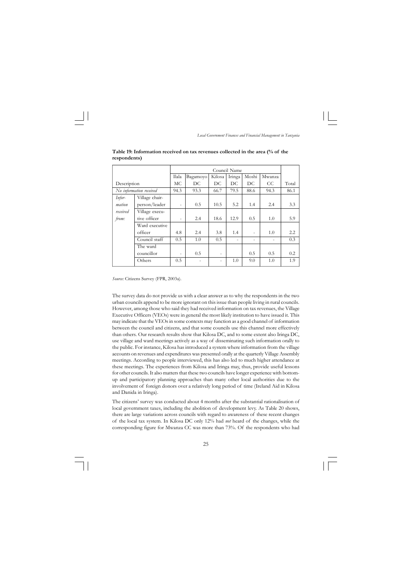

**Table 19: Information received on tax revenues collected in the area (% of the respondents)**

|             |                         |       |          |                          | Council Name             |                          |        |       |
|-------------|-------------------------|-------|----------|--------------------------|--------------------------|--------------------------|--------|-------|
|             |                         | Ilala | Bagamoyo | Kilosa                   | Iringa                   | Moshi                    | Mwanza |       |
| Description |                         | МC    | DC.      | DC                       | DC.                      | DC.                      | CC.    | Total |
|             | No information received | 94.3  | 93.3     | 66.7                     | 79.5                     | 88.6                     | 94.3   | 86.1  |
| Infor-      | Village chair-          |       |          |                          |                          |                          |        |       |
| mation      | person/leader           |       | 0.5      | 10.5                     | 5.2                      | 1.4                      | 2.4    | 3.3   |
| received    | Village execu-          |       |          |                          |                          |                          |        |       |
| from:       | tive officer            |       | 2.4      | 18.6                     | 12.9                     | 0.5                      | 1.0    | 5.9   |
|             | Ward executive          |       |          |                          |                          |                          |        |       |
|             | officer                 | 4.8   | 2.4      | 3.8                      | 1.4                      | $\overline{\phantom{a}}$ | 1.0    | 2.2   |
|             | Council staff           | 0.5   | 1.0      | 0.5                      | $\overline{\phantom{a}}$ | $\overline{\phantom{0}}$ |        | 0.3   |
|             | The ward                |       |          |                          |                          |                          |        |       |
|             | councillor              |       | 0.5      | $\overline{\phantom{a}}$ |                          | 0.5                      | 0.5    | 0.2   |
|             | Others                  | 0.5   |          | $\overline{\phantom{a}}$ | 1.0                      | 9.0                      | 1.0    | 1.9   |
|             |                         |       |          |                          |                          |                          |        |       |

*Source:* Citizens Survey (FPR, 2003a).

The survey data do not provide us with a clear answer as to why the respondents in the two urban councils append to be more ignorant on this issue than people living in rural councils. However, among those who said they had received information on tax revenues, the Village Executive Officers (VEOs) were in general the most likely institution to have issued it. This may indicate that the VEOs in some contexts may function as a good channel of information between the council and citizens, and that some councils use this channel more effectively than others. Our research results show that Kilosa DC, and to some extent also Iringa DC, use village and ward meetings actively as a way of disseminating such information orally to the public. For instance, Kilosa has introduced a system where information from the village accounts on revenues and expenditures was presented orally at the quarterly Village Assembly meetings. According to people interviewed, this has also led to much higher attendance at these meetings. The experiences from Kilosa and Iringa may, thus, provide useful lessons for other councils. It also matters that these two councils have longer experience with bottomup and participatory planning approaches than many other local authorities due to the involvement of foreign donors over a relatively long period of time (Ireland Aid in Kilosa and Danida in Iringa).

The citizens' survey was conducted about 4 months after the substantial rationalisation of local government taxes, including the abolition of development levy. As Table 20 shows, there are large variations across councils with regard to awareness of these recent changes of the local tax system. In Kilosa DC only 12% had *not* heard of the changes, while the corresponding figure for Mwanza CC was more than 73%. Of the respondents who had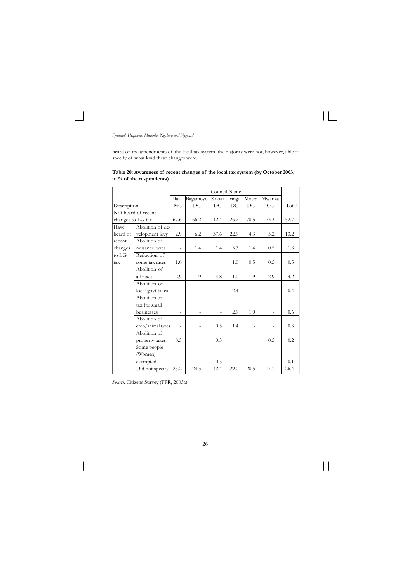

heard of the amendments of the local tax system, the majority were not, however, able to specify of what kind these changes were.

**Table 20: Awareness of recent changes of the local tax system (by October 2003, in % of the respondents)**

|                   |                     |       |          | Council Name   |                |                          |        |       |
|-------------------|---------------------|-------|----------|----------------|----------------|--------------------------|--------|-------|
|                   |                     | Ilala | Bagamoyo | Kilosa         | Iringa         | Moshi                    | Mwanza |       |
| Description       |                     | MC    | DC       | DC             | DC             | DC                       | CC     | Total |
|                   | Not heard of recent |       |          |                |                |                          |        |       |
| changes to LG tax |                     | 67.6  | 66.2     | 12.4           | 26.2           | 70.5                     | 73.3   | 52.7  |
| Have              | Abolition of de-    |       |          |                |                |                          |        |       |
| heard of          | velopment levy      | 2.9   | 6.2      | 37.6           | 22.9           | 4.3                      | 5.2    | 13.2  |
| recent            | Abolition of        |       |          |                |                |                          |        |       |
| changes           | nuisance taxes      |       | 1.4      | 1.4            | 3.3            | 1.4                      | 0.5    | 1.3   |
| to LG             | Reduction of        |       |          |                |                |                          |        |       |
| tax               | some tax rates      | 1.0   |          | $\overline{a}$ | 1.0            | 0.5                      | 0.5    | 0.5   |
|                   | Abolition of        |       |          |                |                |                          |        |       |
|                   | all taxes           | 2.9   | 1.9      | 4.8            | 11.0           | 1.9                      | 2.9    | 4.2   |
|                   | Abolition of        |       |          |                |                |                          |        |       |
|                   | local govt taxes    |       |          |                | 2.4            |                          |        | 0.4   |
|                   | Abolition of        |       |          |                |                |                          |        |       |
|                   | tax for small       |       |          |                |                |                          |        |       |
|                   | businesses          |       |          | $\overline{a}$ | 2.9            | 1.0                      |        | 0.6   |
|                   | Abolition of        |       |          |                |                |                          |        |       |
|                   | crop/animal taxes   |       |          | 0.5            | 1.4            |                          |        | 0.3   |
|                   | Abolition of        |       |          |                |                |                          |        |       |
|                   | property taxes      | 0.5   |          | 0.5            | $\overline{a}$ | $\overline{\phantom{0}}$ | 0.5    | 0.2   |
|                   | Some people         |       |          |                |                |                          |        |       |
|                   | (Women)             |       |          |                |                |                          |        |       |
|                   | exempted            |       |          | 0.5            |                |                          |        | 0.1   |
|                   | Did not specify     | 25.2  | 24.3     | 42.4           | 29.0           | 20.5                     | 17.1   | 26.4  |

*Source:* Citizens Survey (FPR, 2003a).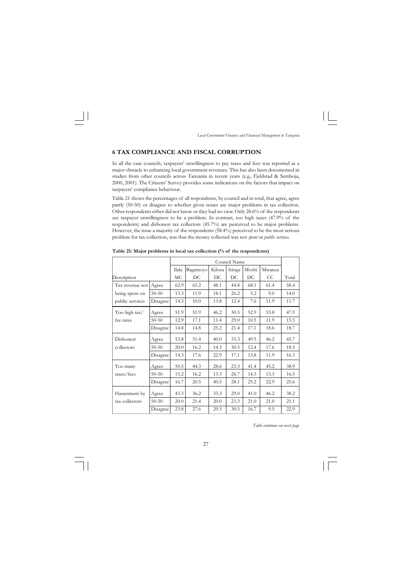

#### **6 TAX COMPLIANCE AND FISCAL CORRUPTION**

In all the case councils, taxpayers' unwillingness to pay taxes and fees was reported as a major obstacle to enhancing local government revenues. This has also been documented in studies from other councils across Tanzania in recent years (e.g., Fjeldstad & Semboja, 2000, 2001). The Citizens' Survey provides some indications on the factors that impact on taxpayers' compliance behaviour.

Table 21 shows the percentages of all respondents, by council and in total, that agree, agree partly (50-50) or disagree to whether given issues are major problems in tax collection. Other respondents either did not know or they had no view. Only 28.6% of the respondents see taxpayer unwillingness to be a problem. In contrast, too high taxes (47.9% of the respondents) and dishonest tax collectors (45.7%) are perceived to be major problems. However, the issue a majority of the respondents (58.4%) perceived to be the most serious problem for tax collection, was that the money collected was not *spent on public services.*

|                 |           |       |          |        | Council Name |       |        |       |
|-----------------|-----------|-------|----------|--------|--------------|-------|--------|-------|
|                 |           | Ilala | Bagamoyo | Kilosa | Iringa       | Moshi | Mwanza |       |
| Description     |           | MC    | DC       | DC     | DC           | DC    | CC     | Total |
| Tax revenue not | Agree     | 62.9  | 65.2     | 48.1   | 44.8         | 68.1  | 61.4   | 58.4  |
| being spent on  | $50 - 50$ | 13.3  | 11.9     | 18.1   | 26.2         | 5.2   | 9.0    | 14.0  |
| public services | Disagree  | 14.3  | 10.0     | 13.8   | 12.4         | 7.6   | 11.9   | 11.7  |
| Too high tax/   | Agree     | 51.9  | 51.9     | 46.2   | 30.5         | 52.9  | 53.8   | 47.9  |
| fee rates       | $50 - 50$ | 12.9  | 17.1     | 11.4   | 29.0         | 10.5  | 11.9   | 15.5  |
|                 | Disagree  | 14.8  | 14.8     | 25.2   | 21.4         | 17.1  | 18.6   | 18.7  |
| Dishonest       | Agree     | 53.8  | 51.4     | 40.0   | 33.3         | 49.5  | 46.2   | 45.7  |
| collectors      | $50 - 50$ | 20.0  | 16.2     | 14.3   | 30.5         | 12.4  | 17.6   | 18.5  |
|                 | Disagree  | 14.3  | 17.6     | 22.9   | 17.1         | 13.8  | 11.9   | 16.3  |
| Too many        | Agree     | 50.5  | 44.3     | 28.6   | 23.3         | 41.4  | 45.2   | 38.9  |
| taxes/fees      | $50 - 50$ | 15.2  | 16.2     | 13.3   | 26.7         | 14.3  | 13.3   | 16.5  |
|                 | Disagree  | 16.7  | 20.5     | 40.5   | 28.1         | 25.2  | 22.9   | 25.6  |
| Harassment by   | Agree     | 43.3  | 36.2     | 33.3   | 29.0         | 41.0  | 46.2   | 38.2  |
| tax collectors  | $50 - 50$ | 20.0  | 21.4     | 20.0   | 23.3         | 21.0  | 21.0   | 21.1  |
|                 | Disagree  | 23.8  | 27.6     | 29.5   | 30.5         | 16.7  | 9.5    | 22.9  |

**Table 21: Major problems in local tax collection (% of the respondents)**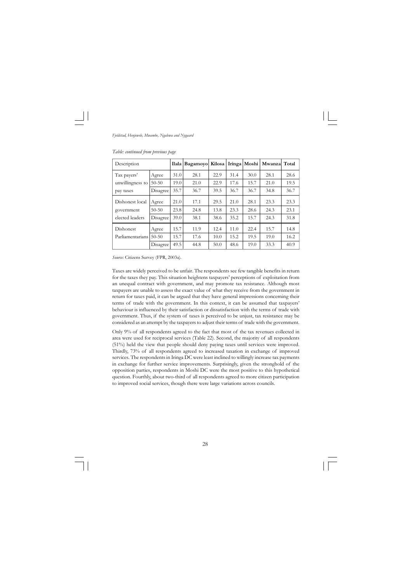

*Source:* Citizens Survey (FPR, 2003a).

Taxes are widely perceived to be unfair. The respondents see few tangible benefits in return for the taxes they pay. This situation heightens taxpayers' perceptions of exploitation from an unequal contract with government, and may promote tax resistance. Although most taxpayers are unable to assess the exact value of what they receive from the government in return for taxes paid, it can be argued that they have general impressions concerning their terms of trade with the government. In this context, it can be assumed that taxpayers' behaviour is influenced by their satisfaction or dissatisfaction with the terms of trade with government. Thus, if the system of taxes is perceived to be unjust, tax resistance may be considered as an attempt by the taxpayers to adjust their terms of trade with the government.

| Description      |           |      | Ilala   Bagamoyo   Kilosa |      |      | Iringa Moshi | Mwanzal Total |      |
|------------------|-----------|------|---------------------------|------|------|--------------|---------------|------|
| Tax payers'      | Agree     | 31.0 | 28.1                      | 22.9 | 31.4 | 30.0         | 28.1          | 28.6 |
| unwillingness to | $50 - 50$ | 19.0 | 21.0                      | 22.9 | 17.6 | 15.7         | 21.0          | 19.5 |
| pay taxes        | Disagree  | 35.7 | 36.7                      | 39.5 | 36.7 | 36.7         | 34.8          | 36.7 |
| Dishonest local  | Agree     | 21.0 | 17.1                      | 29.5 | 21.0 | 28.1         | 23.3          | 23.3 |
| government       | $50 - 50$ | 23.8 | 24.8                      | 13.8 | 23.3 | 28.6         | 24.3          | 23.1 |
| elected leaders  | Disagree  | 39.0 | 38.1                      | 38.6 | 35.2 | 15.7         | 24.3          | 31.8 |
| Dishonest        | Agree     | 15.7 | 11.9                      | 12.4 | 11.0 | 22.4         | 15.7          | 14.8 |
| Parliamentarians | $50 - 50$ | 15.7 | 17.6                      | 10.0 | 15.2 | 19.5         | 19.0          | 16.2 |
|                  | Disagree  | 49.5 | 44.8                      | 50.0 | 48.6 | 19.0         | 33.3          | 40.9 |

*Table: continued from previous page*

Only 9% of all respondents agreed to the fact that most of the tax revenues collected in area were used for reciprocal services (Table 22). Second, the majority of all respondents (51%) held the view that people should deny paying taxes until services were improved. Thirdly, 73% of all respondents agreed to increased taxation in exchange of improved services. The respondents in Iringa DC were least inclined to willingly increase tax payments in exchange for further service improvements. Surprisingly, given the stronghold of the opposition parties, respondents in Moshi DC were the most positive to this hypothetical question. Fourthly, about two-third of all respondents agreed to more citizen participation to improved social services, though there were large variations across councils.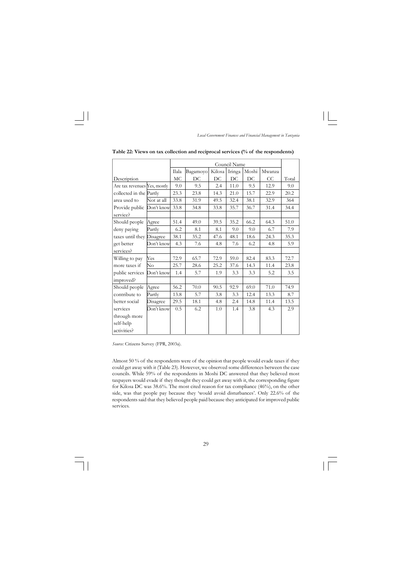

|                              |            |       |          |        | Council Name |       |        |       |
|------------------------------|------------|-------|----------|--------|--------------|-------|--------|-------|
|                              |            | Ilala | Bagamoyo | Kilosa | Iringa       | Moshi | Mwanza |       |
| Description                  |            | MC    | DC       | DC     | DC           | DC    | CC     | Total |
| Are tax revenues Yes, mostly |            | 9.0   | 9.5      | 2.4    | 11.0         | 9.5   | 12.9   | 9.0   |
| collected in the Partly      |            | 23.3  | 23.8     | 14.3   | 21.0         | 15.7  | 22.9   | 20.2  |
| area used to                 | Not at all | 33.8  | 31.9     | 49.5   | 32.4         | 38.1  | 32.9   | 364   |
| Provide public               | Don't know | 33.8  | 34.8     | 33.8   | 35.7         | 36.7  | 31.4   | 34.4  |
| service?                     |            |       |          |        |              |       |        |       |
| Should people                | Agree      | 51.4  | 49.0     | 39.5   | 35.2         | 66.2  | 64.3   | 51.0  |
| deny paying                  | Partly     | 6.2   | 8.1      | 8.1    | 9.0          | 9.0   | 6.7    | 7.9   |
| taxes until they Disagree    |            | 38.1  | 35.2     | 47.6   | 48.1         | 18.6  | 24.3   | 35.3  |
| get better                   | Don't know | 4.3   | 7.6      | 4.8    | 7.6          | 6.2   | 4.8    | 5.9   |
| services?                    |            |       |          |        |              |       |        |       |
| Willing to pay               | Yes        | 72.9  | 65.7     | 72.9   | 59.0         | 82.4  | 83.3   | 72.7  |
| more taxes if                | $\rm No$   | 25.7  | 28.6     | 25.2   | 37.6         | 14.3  | 11.4   | 23.8  |
| public services              | Don't know | 1.4   | 5.7      | 1.9    | 3.3          | 3.3   | 5.2    | 3.5   |
| improved?                    |            |       |          |        |              |       |        |       |
| Should people                | Agree      | 56.2  | 70.0     | 90.5   | 92.9         | 69.0  | 71.0   | 74.9  |
| contribute to                | Partly     | 13.8  | 5.7      | 3.8    | 3.3          | 12.4  | 13.3   | 8.7   |
| better social                | Disagree   | 29.5  | 18.1     | 4.8    | 2.4          | 14.8  | 11.4   | 13.5  |
| services                     | Don't know | 0.5   | 6.2      | 1.0    | 1.4          | 3.8   | 4.3    | 2.9   |
| through more                 |            |       |          |        |              |       |        |       |
| self-help                    |            |       |          |        |              |       |        |       |
| activities?                  |            |       |          |        |              |       |        |       |

**Table 22: Views on tax collection and reciprocal services (% of the respondents)**

*Source:* Citizens Survey (FPR, 2003a).

Almost 50 % of the respondents were of the opinion that people would evade taxes if they could get away with it (Table 23). However, we observed some differences between the case councils. While 59% of the respondents in Moshi DC answered that they believed most taxpayers would evade if they thought they could get away with it, the corresponding figure for Kilosa DC was 38.6%. The most cited reason for tax compliance (46%), on the other side, was that people pay because they 'would avoid disturbances'. Only 22.6% of the respondents said that they believed people paid because they anticipated for improved public services.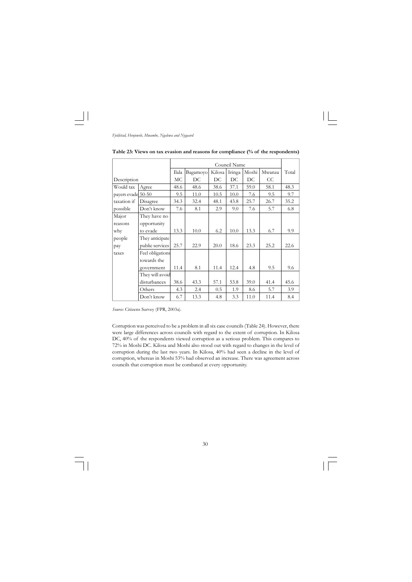|                    |                  |       |          |        | Council Name |       |        |       |
|--------------------|------------------|-------|----------|--------|--------------|-------|--------|-------|
|                    |                  | Ilala | Bagamoyo | Kilosa | Iringa       | Moshi | Mwanza | Total |
| Description        |                  | MC    | DC       | DC     | DC           | DC    | CC     |       |
| Would tax          | Agree            | 48.6  | 48.6     | 38.6   | 37.1         | 59.0  | 58.1   | 48.3  |
| payers evade 50-50 |                  | 9.5   | 11.0     | 10.5   | 10.0         | 7.6   | 9.5    | 9.7   |
| taxation if        | Disagree         | 34.3  | 32.4     | 48.1   | 43.8         | 25.7  | 26.7   | 35.2  |
| possible           | Don't know       | 7.6   | 8.1      | 2.9    | 9.0          | 7.6   | 5.7    | 6.8   |
| Major              | They have no     |       |          |        |              |       |        |       |
| reasons            | opportunity      |       |          |        |              |       |        |       |
| why                | to evade         | 13.3  | 10.0     | 6.2    | 10.0         | 13.3  | 6.7    | 9.9   |
| people             | They anticipate  |       |          |        |              |       |        |       |
| pay                | public services  | 25.7  | 22.9     | 20.0   | 18.6         | 23.3  | 25.2   | 22.6  |
| taxes              | Feel obligations |       |          |        |              |       |        |       |
|                    | towards the      |       |          |        |              |       |        |       |
|                    | government       | 11.4  | 8.1      | 11.4   | 12.4         | 4.8   | 9.5    | 9.6   |
|                    | They will avoid  |       |          |        |              |       |        |       |
|                    | disturbances     | 38.6  | 43.3     | 57.1   | 53.8         | 39.0  | 41.4   | 45.6  |
|                    | Others           | 4.3   | 2.4      | 0.5    | 1.9          | 8.6   | 5.7    | 3.9   |
|                    | Don't know       | 6.7   | 13.3     | 4.8    | 3.3          | 11.0  | 11.4   | 8.4   |

**Table 23: Views on tax evasion and reasons for compliance (% of the respondents)**

*Source:* Citizens Survey (FPR, 2003a).

Corruption was perceived to be a problem in all six case councils (Table 24). However, there were large differences across councils with regard to the extent of corruption. In Kilosa DC, 40% of the respondents viewed corruption as a serious problem. This compares to 72% in Moshi DC. Kilosa and Moshi also stood out with regard to changes in the level of corruption during the last two years. In Kilosa, 40% had seen a decline in the level of corruption, whereas in Moshi 53% had observed an increase. There was agreement across councils that corruption must be combated at every opportunity.

30  $\overline{\overline{\mathcal{a}}}$  $\sqrt{2}$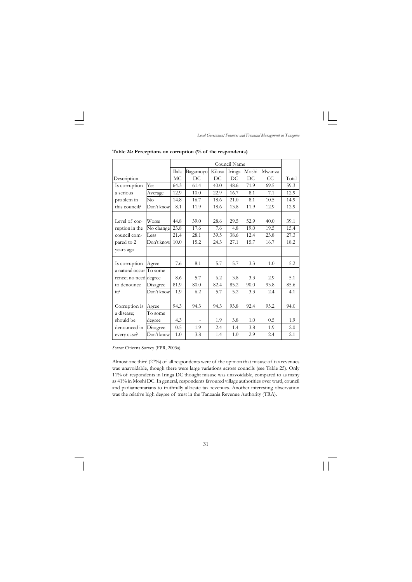|                                     | Council Name |       |          |        |        |       |        |       |
|-------------------------------------|--------------|-------|----------|--------|--------|-------|--------|-------|
|                                     |              | Ilala | Bagamoyo | Kilosa | Iringa | Moshi | Mwanza |       |
| Description                         |              | MC    | DC       | DC     | DC     | DC    | CC     | Total |
| Is corruption                       | Yes          | 64.3  | 61.4     | 40.0   | 48.6   | 71.9  | 69.5   | 59.3  |
| a serious                           | Average      | 12.9  | 10.0     | 22.9   | 16.7   | 8.1   | 7.1    | 12.9  |
| problem in                          | No           | 14.8  | 16.7     | 18.6   | 21.0   | 8.1   | 10.5   | 14.9  |
| this council?                       | Don't know   | 8.1   | 11.9     | 18.6   | 13.8   | 11.9  | 12.9   | 12.9  |
|                                     |              |       |          |        |        |       |        |       |
| Level of cor-                       | Worse        | 44.8  | 39.0     | 28.6   | 29.5   | 52.9  | 40.0   | 39.1  |
| ruption in the                      | No change    | 23.8  | 17.6     | 7.6    | 4.8    | 19.0  | 19.5   | 15.4  |
| council com-                        | Less         | 21.4  | 28.1     | 39.5   | 38.6   | 12.4  | 23.8   | 27.3  |
| pared to 2                          | Don't know   | 10.0  | 15.2     | 24.3   | 27.1   | 15.7  | 16.7   | 18.2  |
| years ago                           |              |       |          |        |        |       |        |       |
| Is corruption                       | Agree        | 7.6   | 8.1      | 5.7    | 5.7    | 3.3   | 1.0    | 5.2   |
| a natural occur <sup>T</sup> o some |              |       |          |        |        |       |        |       |
| rence; no need degree               |              | 8.6   | 5.7      | 6.2    | 3.8    | 3.3   | 2.9    | 5.1   |
| to denounce                         | Disagree     | 81.9  | 80.0     | 82.4   | 85.2   | 90.0  | 93.8   | 85.6  |
| it                                  | Don't know   | 1.9   | 6.2      | 5.7    | 5.2    | 3.3   | 2.4    | 4.1   |
| Corruption is                       | Agree        | 94.3  | 94.3     | 94.3   | 93.8   | 92.4  | 95.2   | 94.0  |
| a disease;                          | To some      |       |          |        |        |       |        |       |
| should be                           | degree       | 4.3   |          | 1.9    | 3.8    | 1.0   | 0.5    | 1.9   |
| denounced in                        | Disagree     | 0.5   | 1.9      | 2.4    | 1.4    | 3.8   | 1.9    | 2.0   |
| every case?                         | Don't know   | 1.0   | 3.8      | 1.4    | 1.0    | 2.9   | 2.4    | 2.1   |

**Table 24: Perceptions on corruption (% of the respondents)**

*Source:* Citizens Survey (FPR, 2003a).

Almost one third (27%) of all respondents were of the opinion that misuse of tax revenues was unavoidable, though there were large variations across councils (see Table 25). Only 11% of respondents in Iringa DC thought misuse was unavoidable, compared to as many as 41% in Moshi DC. In general, respondents favoured village authorities over ward, council and parliamentarians to truthfully allocate tax revenues. Another interesting observation was the relative high degree of trust in the Tanzania Revenue Authority (TRA).

31  $\overline{\neg}$  $\sqrt{2}$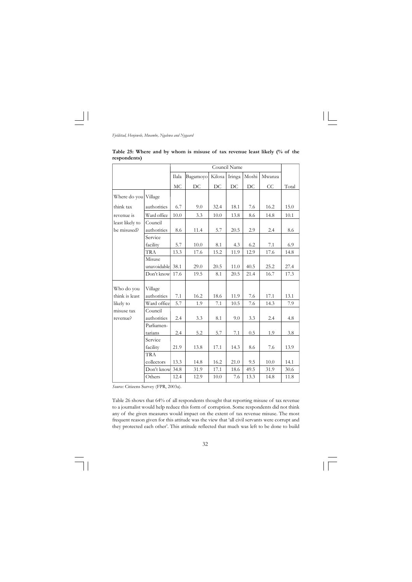

|              |  |  |  |  | Table 25: Where and by whom is misuse of tax revenue least likely $\frac{6}{6}$ of the |  |  |  |
|--------------|--|--|--|--|----------------------------------------------------------------------------------------|--|--|--|
| respondents) |  |  |  |  |                                                                                        |  |  |  |

|                      |             |          |          |          | Council Name |         |        |       |
|----------------------|-------------|----------|----------|----------|--------------|---------|--------|-------|
|                      |             | Ilala    | Bagamoyo | Kilosa   | Iringa       | Moshi   | Mwanza |       |
|                      |             | $\rm MC$ | DC       | DC       | DC           | DC      | CC     | Total |
| Where do you Village |             |          |          |          |              |         |        |       |
| think tax            | authorities | 6.7      | 9.0      | 32.4     | 18.1         | 7.6     | 16.2   | 15.0  |
| revenue is           | Ward office | 10.0     | 3.3      | $10.0\,$ | 13.8         | 8.6     | 14.8   | 10.1  |
| least likely to      | Council     |          |          |          |              |         |        |       |
| be misused?          | authorities | 8.6      | 11.4     | 5.7      | 20.5         | 2.9     | 2.4    | 8.6   |
|                      | Service     |          |          |          |              |         |        |       |
|                      | facility    | 5.7      | 10.0     | 8.1      | 4.3          | 6.2     | 7.1    | 6.9   |
|                      | <b>TRA</b>  | 13.3     | 17.6     | 15.2     | 11.9         | 12.9    | 17.6   | 14.8  |
|                      | Misuse      |          |          |          |              |         |        |       |
|                      | unavoidable | 38.1     | 29.0     | 20.5     | 11.0         | 40.5    | 25.2   | 27.4  |
|                      | Don't know  | 17.6     | 19.5     | 8.1      | 20.5         | 21.4    | 16.7   | 17.3  |
| Who do you           | Village     |          |          |          |              |         |        |       |
| think is least       | authorities | 7.1      | 16.2     | 18.6     | 11.9         | 7.6     | 17.1   | 13.1  |
| likely to            | Ward office | 5.7      | 1.9      | 7.1      | 10.5         | 7.6     | 14.3   | 7.9   |
| misuse tax           | Council     |          |          |          |              |         |        |       |
| revenue?             | authorities | 2.4      | 3.3      | 8.1      | 9.0          | 3.3     | 2.4    | 4.8   |
|                      | Parliamen-  |          |          |          |              |         |        |       |
|                      | tarians     | 2.4      | 5.2      | 5.7      | $7.1\,$      | $0.5\,$ | 1.9    | 3.8   |
|                      | Service     |          |          |          |              |         |        |       |
|                      | facility    | 21.9     | 13.8     | 17.1     | 14.3         | 8.6     | 7.6    | 13.9  |
|                      | <b>TRA</b>  |          |          |          |              |         |        |       |
|                      | collectors  | 13.3     | 14.8     | 16.2     | 21.0         | 9.5     | 10.0   | 14.1  |
|                      | Don't know  | 34.8     | 31.9     | 17.1     | 18.6         | 49.5    | 31.9   | 30.6  |
|                      | Others      | 12.4     | 12.9     | 10.0     | 7.6          | 13.3    | 14.8   | 11.8  |

*Source:* Citizens Survey (FPR, 2003a).

Table 26 shows that 64% of all respondents thought that reporting misuse of tax revenue to a journalist would help reduce this form of corruption. Some respondents did not think any of the given measures would impact on the extent of tax revenue misuse. The most frequent reason given for this attitude was the view that 'all civil servants were corrupt and they protected each other'. This attitude reflected that much was left to be done to build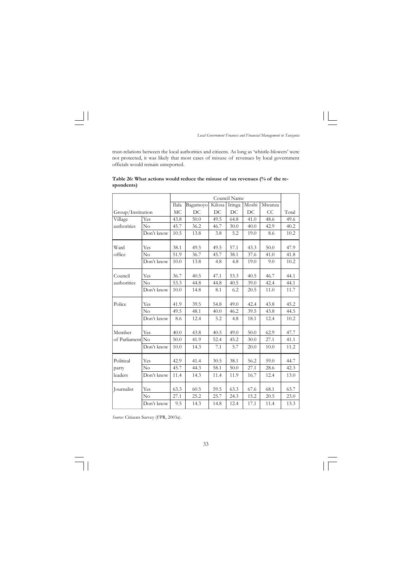

trust-relations between the local authorities and citizens. As long as 'whistle-blowers' were not protected, it was likely that most cases of misuse of revenues by local government officials would remain unreported.

|                   |            |       |          | Council Name |        |       |        |       |  |  |
|-------------------|------------|-------|----------|--------------|--------|-------|--------|-------|--|--|
|                   |            | Ilala | Bagamoyo | Kilosa       | Iringa | Moshi | Mwanza |       |  |  |
| Group/Institution |            | MC    | DC       | DC           | DC     | DC    | CC     | Total |  |  |
| Village           | Yes        | 43.8  | 50.0     | 49.5         | 64.8   | 41.0  | 48.6   | 49.6  |  |  |
| authorities       | No         | 45.7  | 36.2     | 46.7         | 30.0   | 40.0  | 42.9   | 40.2  |  |  |
|                   | Don't know | 10.5  | 13.8     | 3.8          | 5.2    | 19.0  | 8.6    | 10.2  |  |  |
| Ward              | Yes        | 38.1  | 49.5     | 49.5         | 57.1   | 43.3  | 50.0   | 47.9  |  |  |
| office            | No         | 51.9  | 36.7     | 45.7         | 38.1   | 37.6  | 41.0   | 41.8  |  |  |
|                   | Don't know | 10.0  | 13.8     | 4.8          | 4.8    | 19.0  | 9.0    | 10.2  |  |  |
| Council           | Yes        | 36.7  | 40.5     | 47.1         | 53.3   | 40.5  | 46.7   | 44.1  |  |  |
| authorities       | No         | 53.3  | 44.8     | 44.8         | 40.5   | 39.0  | 42.4   | 44.1  |  |  |
|                   | Don't know | 10.0  | 14.8     | 8.1          | 6.2    | 20.5  | 11.0   | 11.7  |  |  |
| Police            | Yes        | 41.9  | 39.5     | 54.8         | 49.0   | 42.4  | 43.8   | 45.2  |  |  |
|                   | No         | 49.5  | 48.1     | 40.0         | 46.2   | 39.5  | 43.8   | 44.5  |  |  |
|                   | Don't know | 8.6   | 12.4     | 5.2          | 4.8    | 18.1  | 12.4   | 10.2  |  |  |
| Member            | Yes        | 40.0  | 43.8     | 40.5         | 49.0   | 50.0  | 62.9   | 47.7  |  |  |
| of Parliament No  |            | 50.0  | 41.9     | 52.4         | 45.2   | 30.0  | 27.1   | 41.1  |  |  |
|                   | Don't know | 10.0  | 14.3     | 7.1          | 5.7    | 20.0  | 10.0   | 11.2  |  |  |
| Political         | Yes        | 42.9  | 41.4     | 30.5         | 38.1   | 56.2  | 59.0   | 44.7  |  |  |
| party             | No         | 45.7  | 44.3     | 58.1         | 50.0   | 27.1  | 28.6   | 42.3  |  |  |
| leaders           | Don't know | 11.4  | 14.3     | 11.4         | 11.9   | 16.7  | 12.4   | 13.0  |  |  |
| Journalist        | Yes        | 63.3  | 60.5     | 59.5         | 63.3   | 67.6  | 68.1   | 63.7  |  |  |
|                   | No         | 27.1  | 25.2     | 25.7         | 24.3   | 15.2  | 20.5   | 23.0  |  |  |
|                   | Don't know | 9.5   | 14.3     | 14.8         | 12.4   | 17.1  | 11.4   | 13.3  |  |  |

**Table 26: What actions would reduce the misuse of tax revenues (% of the respondents)**

*Source:* Citizens Survey (FPR, 2003a).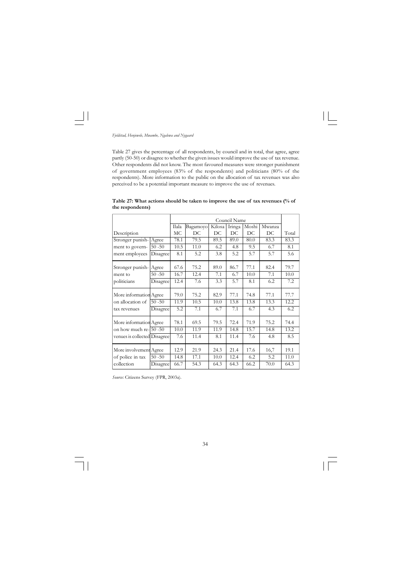

Table 27 gives the percentage of all respondents, by council and in total, that agree, agree partly (50-50) or disagree to whether the given issues would improve the use of tax revenue. Other respondents did not know. The most favoured measures were stronger punishment of government employees (83% of the respondents) and politicians (80% of the respondents). More information to the public on the allocation of tax revenues was also perceived to be a potential important measure to improve the use of revenues.

|                              |           |                  |          |        | Council Name |       |        |       |
|------------------------------|-----------|------------------|----------|--------|--------------|-------|--------|-------|
|                              |           | Ilala            | Bagamoyo | Kilosa | Iringa       | Moshi | Mwanza |       |
| Description                  |           | MC               | DC       | DC     | DC           | DC    | DC     | Total |
| Stronger punish-Agree        |           | 78.1             | 79.5     | 89.5   | 89.0         | 80.0  | 83.3   | 83.3  |
| ment to govern-              | $50 - 50$ | 10.5             | 11.0     | 6.2    | 4.8          | 9.5   | 6.7    | 8.1   |
| ment employees               | Disagree  | 8.1              | 5.2      | 3.8    | 5.2          | 5.7   | 5.7    | 5.6   |
| Stronger punish-             | Agree     | 67.6             | 75.2     | 89.0   | 86.7         | 77.1  | 82.4   | 79.7  |
| ment to                      | $50 - 50$ | 16.7             | 12.4     | 7.1    | 6.7          | 10.0  | 7.1    | 10.0  |
| politicians                  | Disagree  | 12.4             | 7.6      | 3.3    | 5.7          | 8.1   | 6.2    | 7.2   |
| More information Agree       |           | 79.0             | 75.2     | 82.9   | 77.1         | 74.8  | 77.1   | 77.7  |
| on allocation of             | $50 - 50$ | 11.9             | 10.5     | 10.0   | 13.8         | 13.8  | 13.3   | 12.2  |
| tax revenues                 | Disagree  | $\overline{5.2}$ | 7.1      | 6.7    | 7.1          | 6.7   | 4.3    | 6.2   |
| More information Agree       |           | 78.1             | 69.5     | 79.5   | 72.4         | 71.9  | 75.2   | 74.4  |
| on how much re- 50 -50       |           | 10.0             | 11.9     | 11.9   | 14.8         | 15.7  | 14.8   | 13.2  |
| venues is collected Disagree |           | 7.6              | 11.4     | 8.1    | 11.4         | 7.6   | 4.8    | 8.5   |
| More involvement Agree       |           | 12.9             | 21.9     | 24.3   | 21.4         | 17.6  | 16,7   | 19.1  |
| of police in tax             | $50 - 50$ | 14.8             | 17.1     | 10.0   | 12.4         | 6.2   | 5.2    | 11.0  |
| collection                   | Disagree  | 66.7             | 54.3     | 64.3   | 64.3         | 66.2  | 70.0   | 64.3  |

**Table 27: What actions should be taken to improve the use of tax revenues (% of the respondents)**

*Source:* Citizens Survey (FPR, 2003a).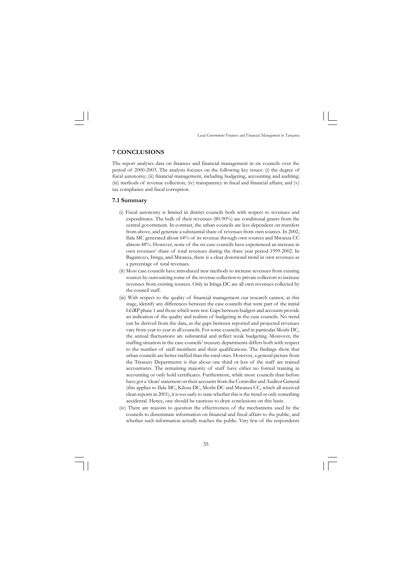

#### **7 CONCLUSIONS**

The report analyses data on finances and financial management in six councils over the period of 2000-2003. The analysis focuses on the following key issues: (i) the degree of fiscal autonomy; (ii) financial management, including budgeting, accounting and auditing; (iii) methods of revenue collection; (iv) transparency in fiscal and financial affairs; and (v) tax compliance and fiscal corruption.

#### **7.1 Summary**

- (i) Fiscal autonomy is limited in district councils both with respect to revenues and expenditures. The bulk of their revenues (80-90%) are conditional grants from the central government. In contrast, the urban councils are less dependent on transfers from above, and generate a substantial share of revenues from own sources. In 2002, Ilala MC generated about 64% of its revenue through own sources and Mwanza CC almost 48%. However, none of the six case councils have experienced an increase in own revenues' share of total revenues during the three year period 1999-2002. In Bagamoyo, Iringa, and Mwanza, there is a clear downward trend in own revenues as a percentage of total revenues.
- (ii) Most case councils have introduced new methods to increase revenues from existing sources by outsourcing some of the revenue collection to private collectors to increase revenues from existing sources. Only in Iringa DC are all own revenues collected by the council staff.
- (iii) With respect to the quality of financial management our research cannot, at this stage, identify any differences between the case councils that were part of the initial LGRP phase 1 and those which were not. Gaps between budgets and accounts provide an indication of the quality and realism of budgeting in the case councils. No trend can be derived from the data, as the gaps between reported and projected revenues vary from year to year in all councils. For some councils, and in particular Moshi DC, the annual fluctuations are substantial and reflect weak budgeting. Moreover, the staffing situation in the case councils' treasury departments differs both with respect to the number of staff members and their qualifications. The findings show that urban councils are better staffed than the rural ones. However, a general picture from the Treasury Departments is that about one third or less of the staff are trained accountants. The remaining majority of staff have either no formal training in accounting or only hold certificates. Furthermore, while more councils than before have got a 'clean' statement on their accounts from the Controller and Auditor General (this applies to Ilala MC, Kilosa DC, Moshi DC and Mwanza CC, which all received clean reports in 2001), it is too early to state whether this is the trend or only something accidental. Hence, one should be cautious to draw conclusions on this basis.
- (iv) There are reasons to question the effectiveness of the mechanisms used by the councils to disseminate information on financial and fiscal affairs to the public, and whether such information actually reaches the public. Very few of the respondents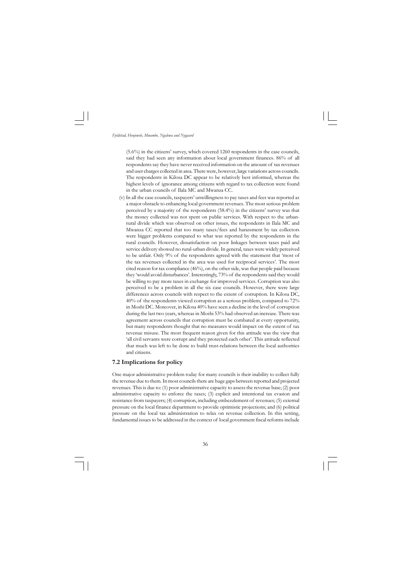

(5.6%) in the citizens' survey, which covered 1260 respondents in the case councils, said they had seen any information about local government finances. 86% of all respondents say they have never received information on the amount of tax revenues and user charges collected in area. There were, however, large variations across councils. The respondents in Kilosa DC appear to be relatively best informed, whereas the highest levels of ignorance among citizens with regard to tax collection were found in the urban councils of Ilala MC and Mwanza CC.

(v) In all the case councils, taxpayers' unwillingness to pay taxes and fees was reported as a major obstacle to enhancing local government revenues. The most serious problem perceived by a majority of the respondents (58.4%) in the citizens' survey was that the money collected was not spent on public services. With respect to the urbanrural divide which was observed on other issues, the respondents in Ilala MC and Mwanza CC reported that too many taxes/fees and harassment by tax collectors were bigger problems compared to what was reported by the respondents in the rural councils. However, dissatisfaction on poor linkages between taxes paid and service delivery showed no rural-urban divide. In general, taxes were widely perceived to be unfair. Only 9% of the respondents agreed with the statement that 'most of the tax revenues collected in the area was used for reciprocal services'. The most cited reason for tax compliance (46%), on the other side, was that people paid because they 'would avoid disturbances'. Interestingly, 73% of the respondents said they would be willing to pay more taxes in exchange for improved services. Corruption was also perceived to be a problem in all the six case councils. However, there were large differences across councils with respect to the extent of corruption. In Kilosa DC, 40% of the respondents viewed corruption as a serious problem, compared to 72% in Moshi DC. Moreover, in Kilosa 40% have seen a decline in the level of corruption during the last two years, whereas in Moshi 53% had observed an increase. There was agreement across councils that corruption must be combated at every opportunity, but many respondents thought that no measures would impact on the extent of tax revenue misuse. The most frequent reason given for this attitude was the view that 'all civil servants were corrupt and they protected each other'. This attitude reflected that much was left to be done to build trust-relations between the local authorities and citizens.

#### **7.2 Implications for policy**

One major administrative problem today for many councils is their inability to collect fully the revenue due to them. In most councils there are huge gaps between reported and projected revenues. This is due to: (1) poor administrative capacity to assess the revenue base; (2) poor administrative capacity to enforce the taxes; (3) explicit and intentional tax evasion and resistance from taxpayers; (4) corruption, including embezzlement of revenues; (5) external pressure on the local finance department to provide optimistic projections; and (6) political pressure on the local tax administration to relax on revenue collection. In this setting, fundamental issues to be addressed in the context of local government fiscal reforms include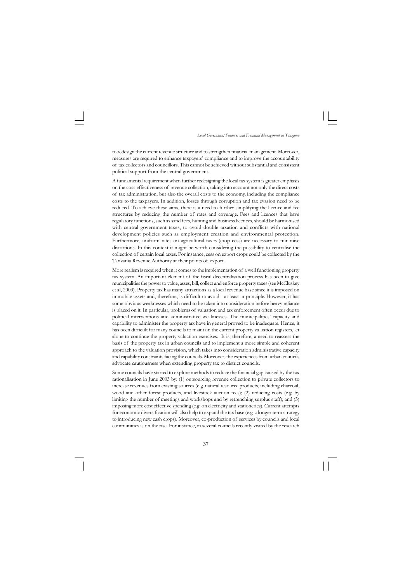

to redesign the current revenue structure and to strengthen financial management. Moreover, measures are required to enhance taxpayers' compliance and to improve the accountability of tax collectors and councillors. This cannot be achieved without substantial and consistent political support from the central government.

A fundamental requirement when further redesigning the local tax system is greater emphasis on the cost-effectiveness of revenue collection, taking into account not only the direct costs of tax administration, but also the overall costs to the economy, including the compliance costs to the taxpayers. In addition, losses through corruption and tax evasion need to be reduced. To achieve these aims, there is a need to further simplifying the licence and fee structures by reducing the number of rates and coverage. Fees and licences that have regulatory functions, such as sand fees, hunting and business licences, should be harmonised with central government taxes, to avoid double taxation and conflicts with national development policies such as employment creation and environmental protection. Furthermore, uniform rates on agricultural taxes (crop cess) are necessary to minimise distortions. In this context it might be worth considering the possibility to centralise the collection of certain local taxes. For instance, cess on export crops could be collected by the Tanzania Revenue Authority at their points of export.

More realism is required when it comes to the implementation of a well functioning property tax system. An important element of the fiscal decentralisation process has been to give municipalities the power to value, asses, bill, collect and enforce property taxes (see McCluskey et al, 2003). Property tax has many attractions as a local revenue base since it is imposed on immobile assets and, therefore, is difficult to avoid - at least in principle. However, it has some obvious weaknesses which need to be taken into consideration before heavy reliance is placed on it. In particular, problems of valuation and tax enforcement often occur due to political interventions and administrative weaknesses. The municipalities' capacity and capability to administer the property tax have in general proved to be inadequate. Hence, it has been difficult for many councils to maintain the current property valuation registers, let alone to continue the property valuation exercises. It is, therefore, a need to reassess the basis of the property tax in urban councils and to implement a more simple and coherent approach to the valuation provision, which takes into consideration administrative capacity and capability constraints facing the councils. Moreover, the experiences from urban councils advocate cautiousness when extending property tax to district councils.

Some councils have started to explore methods to reduce the financial gap caused by the tax rationalisation in June 2003 by: (1) outsourcing revenue collection to private collectors to increase revenues from existing sources (e.g. natural resource products, including charcoal, wood and other forest products, and livestock auction fees); (2) reducing costs (e.g. by limiting the number of meetings and workshops and by retrenching surplus staff); and (3) imposing more cost effective spending (e.g. on electricity and stationeries). Current attempts for economic diversification will also help to expand the tax base (e.g. a longer term strategy to introducing new cash crops). Moreover, co-production of services by councils and local communities is on the rise. For instance, in several councils recently visited by the research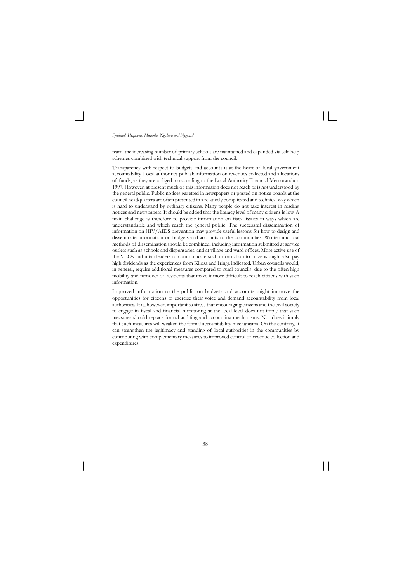

team, the increasing number of primary schools are maintained and expanded via self-help schemes combined with technical support from the council.

Transparency with respect to budgets and accounts is at the heart of local government accountability. Local authorities publish information on revenues collected and allocations of funds, as they are obliged to according to the Local Authority Financial Memorandum 1997. However, at present much of this information does not reach or is not understood by the general public. Public notices gazetted in newspapers or posted on notice boards at the council headquarters are often presented in a relatively complicated and technical way which is hard to understand by ordinary citizens. Many people do not take interest in reading notices and newspapers. It should be added that the literacy level of many citizens is low. A main challenge is therefore to provide information on fiscal issues in ways which are understandable and which reach the general public. The successful dissemination of information on HIV/AIDS prevention may provide useful lessons for how to design and disseminate information on budgets and accounts to the communities. Written and oral methods of dissemination should be combined, including information submitted at service outlets such as schools and dispensaries, and at village and ward offices. More active use of the VEOs and mtaa leaders to communicate such information to citizens might also pay high dividends as the experiences from Kilosa and Iringa indicated. Urban councils would, in general, require additional measures compared to rural councils, due to the often high mobility and turnover of residents that make it more difficult to reach citizens with such information.

Improved information to the public on budgets and accounts might improve the opportunities for citizens to exercise their voice and demand accountability from local authorities. It is, however, important to stress that encouraging citizens and the civil society to engage in fiscal and financial monitoring at the local level does not imply that such measures should replace formal auditing and accounting mechanisms. Nor does it imply that such measures will weaken the formal accountability mechanisms. On the contrary, it can strengthen the legitimacy and standing of local authorities in the communities by contributing with complementary measures to improved control of revenue collection and expenditures.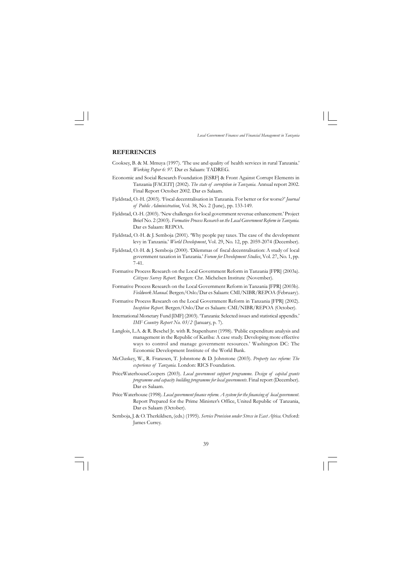

#### **REFERENCES**

- Cooksey, B. & M. Mmuya (1997). 'The use and quality of health services in rural Tanzania.' *Working Paper 6: 97*. Dar es Salaam: TADREG.
- Economic and Social Research Foundation [ESRF] & Front Against Corrupt Elements in Tanzania [FACEIT] (2002). *The state of corruption in Tanzania*. Annual report 2002. Final Report October 2002. Dar es Salaam.
- Fjeldstad, O.-H. (2003). 'Fiscal decentralisation in Tanzania. For better or for worse?' *Journal of Public Administration*, Vol. 38, No. 2 (June), pp. 133-149.
- Fjeldstad, O.-H. (2003). 'New challenges for local government revenue enhancement.' Project Brief No. 2 (2003). *Formative Process Research on the Local Government Reform in Tanzania*. Dar es Salaam: REPOA.
- Fjeldstad, O.-H. & J. Semboja (2001). 'Why people pay taxes. The case of the development levy in Tanzania.' *World Development*, Vol. 29, No. 12, pp. 2059-2074 (December).
- Fjeldstad, O.-H. & J. Semboja (2000). 'Dilemmas of fiscal decentralisation: A study of local government taxation in Tanzania.' *Forum for Development Studies*, Vol. 27, No. 1, pp. 7-41.
- Formative Process Research on the Local Government Reform in Tanzania [FPR] (2003a). *Citizens Survey Report*. Bergen: Chr. Michelsen Institute (November).
- Formative Process Research on the Local Government Reform in Tanzania [FPR] (2003b). *Fieldwork Manual*. Bergen/Oslo/Dar es Salaam: CMI/NIBR/REPOA (February).
- Formative Process Research on the Local Government Reform in Tanzania [FPR] (2002). *Inception Report*. Bergen/Oslo/Dar es Salaam: CMI/NIBR/REPOA (October).
- International Monetary Fund [IMF] (2003). 'Tanzania: Selected issues and statistical appendix.' *IMF Country Report No. 03/2* (January, p. 7).
- Langlois, L.A. & R. Beschel Jr. with R. Stapenhurst (1998). 'Public expenditure analysis and management in the Republic of Kariba: A case study. Developing more effective ways to control and manage government resources.' Washington DC: The Economic Development Institute of the World Bank.
- McCluskey, W., R. Franzsen, T. Johnstone & D. Johnstone (2003). *Property tax reform: The experience of Tanzania*. London: RICS Foundation.
- PriceWaterhouseCoopers (2003). *Local government support programme. Design of capital grants programme and capacity building programme for local governments*. Final report (December). Dar es Salaam.
- Price Waterhouse (1998).*Local government finance reform. A system for the financing of local government*. Report Prepared for the Prime Minister's Office, United Republic of Tanzania, Dar es Salaam (October).
- Semboja, J. & O. Therkildsen, (eds.) (1995). *Service Provision under Stress in East Africa.* Oxford: James Currey.